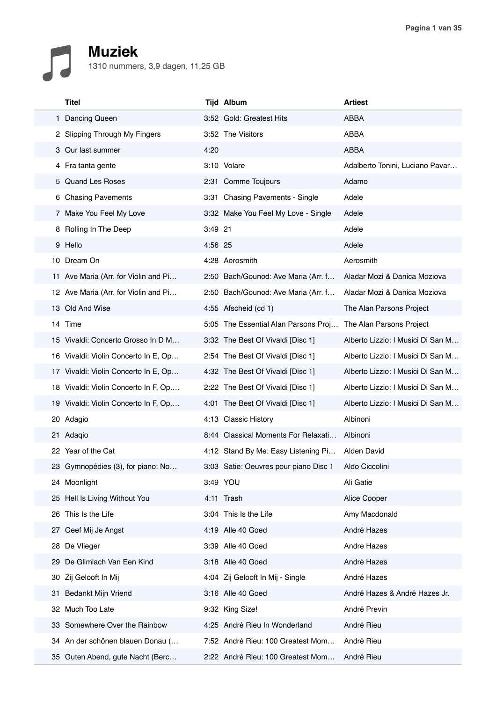## **Muziek** 1310 nummers, 3,9 dagen, 11,25 GB

|  | <b>Titel</b>                         |         | <b>Tijd Album</b>                     | <b>Artiest</b>                    |
|--|--------------------------------------|---------|---------------------------------------|-----------------------------------|
|  | 1 Dancing Queen                      |         | 3:52 Gold: Greatest Hits              | ABBA                              |
|  | 2 Slipping Through My Fingers        |         | 3:52 The Visitors                     | ABBA                              |
|  | 3 Our last summer                    | 4:20    |                                       | <b>ABBA</b>                       |
|  | 4 Fra tanta gente                    |         | 3:10 Volare                           | Adalberto Tonini, Luciano Pavar   |
|  | 5 Quand Les Roses                    |         | 2:31 Comme Toujours                   | Adamo                             |
|  | 6 Chasing Pavements                  |         | 3:31 Chasing Pavements - Single       | Adele                             |
|  | 7 Make You Feel My Love              |         | 3:32 Make You Feel My Love - Single   | Adele                             |
|  | 8 Rolling In The Deep                | 3:49 21 |                                       | Adele                             |
|  | 9 Hello                              | 4:56 25 |                                       | Adele                             |
|  | 10 Dream On                          |         | 4:28 Aerosmith                        | Aerosmith                         |
|  | 11 Ave Maria (Arr. for Violin and Pi |         | 2:50 Bach/Gounod: Ave Maria (Arr. f   | Aladar Mozi & Danica Moziova      |
|  | 12 Ave Maria (Arr. for Violin and Pi |         | 2:50 Bach/Gounod: Ave Maria (Arr. f   | Aladar Mozi & Danica Moziova      |
|  | 13 Old And Wise                      |         | 4:55 Afscheid (cd 1)                  | The Alan Parsons Project          |
|  | 14 Time                              |         | 5:05 The Essential Alan Parsons Proj  | The Alan Parsons Project          |
|  | 15 Vivaldi: Concerto Grosso In D M   |         | 3:32 The Best Of Vivaldi [Disc 1]     | Alberto Lizzio: I Musici Di San M |
|  | 16 Vivaldi: Violin Concerto In E, Op |         | 2:54 The Best Of Vivaldi [Disc 1]     | Alberto Lizzio: I Musici Di San M |
|  | 17 Vivaldi: Violin Concerto In E, Op |         | 4:32 The Best Of Vivaldi [Disc 1]     | Alberto Lizzio: I Musici Di San M |
|  | 18 Vivaldi: Violin Concerto In F, Op |         | 2:22 The Best Of Vivaldi [Disc 1]     | Alberto Lizzio: I Musici Di San M |
|  | 19 Vivaldi: Violin Concerto In F, Op |         | 4:01 The Best Of Vivaldi [Disc 1]     | Alberto Lizzio: I Musici Di San M |
|  | 20 Adagio                            |         | 4:13 Classic History                  | Albinoni                          |
|  | 21 Adaqio                            |         | 8:44 Classical Moments For Relaxati   | Albinoni                          |
|  | 22 Year of the Cat                   |         | 4:12 Stand By Me: Easy Listening Pi   | Alden David                       |
|  | 23 Gymnopédies (3), for piano: No    |         | 3:03 Satie: Oeuvres pour piano Disc 1 | Aldo Ciccolini                    |
|  | 24 Moonlight                         |         | 3:49 YOU                              | Ali Gatie                         |
|  | 25 Hell Is Living Without You        |         | 4:11 Trash                            | Alice Cooper                      |
|  | 26 This Is the Life                  |         | 3:04 This Is the Life                 | Amy Macdonald                     |
|  | 27 Geef Mij Je Angst                 |         | 4:19 Alle 40 Goed                     | André Hazes                       |
|  | 28 De Vlieger                        |         | 3:39 Alle 40 Goed                     | Andre Hazes                       |
|  | 29 De Glimlach Van Een Kind          |         | 3:18 Alle 40 Goed                     | André Hazes                       |
|  | 30 Zij Gelooft In Mij                |         | 4:04 Zij Gelooft In Mij - Single      | André Hazes                       |
|  | 31 Bedankt Mijn Vriend               |         | 3:16 Alle 40 Goed                     | André Hazes & André Hazes Jr.     |
|  | 32 Much Too Late                     |         | 9:32 King Size!                       | André Previn                      |
|  | 33 Somewhere Over the Rainbow        |         | 4:25 André Rieu In Wonderland         | André Rieu                        |
|  | 34 An der schönen blauen Donau (     |         | 7:52 André Rieu: 100 Greatest Mom     | André Rieu                        |
|  | 35 Guten Abend, gute Nacht (Berc     |         | 2:22 André Rieu: 100 Greatest Mom     | André Rieu                        |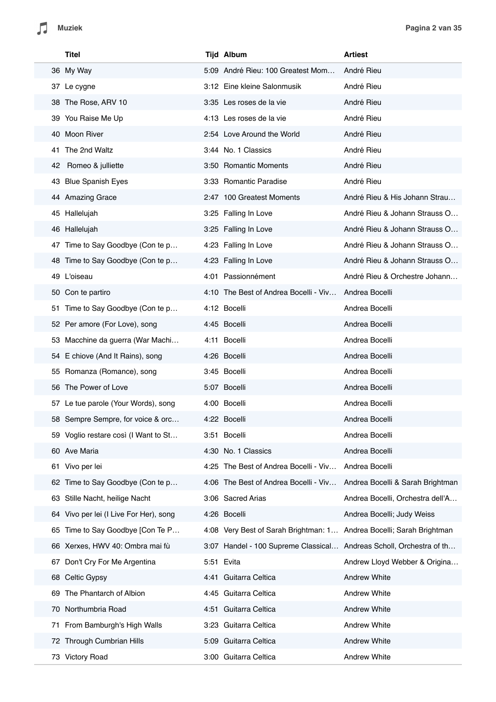|     | Titel                                  | <b>Tijd Album</b>                                                    | <b>Artiest</b>                   |
|-----|----------------------------------------|----------------------------------------------------------------------|----------------------------------|
|     | 36 My Way                              | 5:09 André Rieu: 100 Greatest Mom                                    | André Rieu                       |
|     | 37 Le cygne                            | 3:12 Eine kleine Salonmusik                                          | André Rieu                       |
|     | 38 The Rose, ARV 10                    | 3:35 Les roses de la vie                                             | André Rieu                       |
|     | 39 You Raise Me Up                     | 4:13 Les roses de la vie                                             | André Rieu                       |
|     | 40 Moon River                          | 2:54 Love Around the World                                           | André Rieu                       |
| 41. | The 2nd Waltz                          | 3:44 No. 1 Classics                                                  | André Rieu                       |
| 42  | Romeo & julliette                      | 3:50 Romantic Moments                                                | André Rieu                       |
|     | 43 Blue Spanish Eyes                   | 3:33 Romantic Paradise                                               | André Rieu                       |
|     | 44 Amazing Grace                       | 2:47 100 Greatest Moments                                            | André Rieu & His Johann Strau    |
|     | 45 Hallelujah                          | 3:25 Falling In Love                                                 | André Rieu & Johann Strauss O    |
|     | 46 Hallelujah                          | 3:25 Falling In Love                                                 | André Rieu & Johann Strauss O    |
|     | 47 Time to Say Goodbye (Con te p       | 4:23 Falling In Love                                                 | André Rieu & Johann Strauss O    |
|     | 48 Time to Say Goodbye (Con te p       | 4:23 Falling In Love                                                 | André Rieu & Johann Strauss O    |
|     | 49 L'oiseau                            | 4:01 Passionnément                                                   | André Rieu & Orchestre Johann    |
|     | 50 Con te partiro                      | 4:10 The Best of Andrea Bocelli - Viv                                | Andrea Bocelli                   |
|     | 51 Time to Say Goodbye (Con te p       | 4:12 Bocelli                                                         | Andrea Bocelli                   |
|     | 52 Per amore (For Love), song          | 4:45 Bocelli                                                         | Andrea Bocelli                   |
|     | 53 Macchine da guerra (War Machi       | 4:11 Bocelli                                                         | Andrea Bocelli                   |
|     | 54 E chiove (And It Rains), song       | 4:26 Bocelli                                                         | Andrea Bocelli                   |
|     | 55 Romanza (Romance), song             | 3:45 Bocelli                                                         | Andrea Bocelli                   |
|     | 56 The Power of Love                   | 5:07 Bocelli                                                         | Andrea Bocelli                   |
|     | 57 Le tue parole (Your Words), song    | 4:00 Bocelli                                                         | Andrea Bocelli                   |
|     | 58 Sempre Sempre, for voice & orc      | 4:22 Bocelli                                                         | Andrea Bocelli                   |
|     | 59 Voglio restare così (I Want to St   | 3:51 Bocelli                                                         | Andrea Bocelli                   |
|     | 60 Ave Maria                           | 4:30 No. 1 Classics                                                  | Andrea Bocelli                   |
|     | 61 Vivo per lei                        | 4:25 The Best of Andrea Bocelli - Viv                                | Andrea Bocelli                   |
|     | 62 Time to Say Goodbye (Con te p       | 4:06 The Best of Andrea Bocelli - Viv                                | Andrea Bocelli & Sarah Brightman |
| 63  | Stille Nacht, heilige Nacht            | 3:06 Sacred Arias                                                    | Andrea Bocelli, Orchestra dell'A |
|     | 64 Vivo per lei (I Live For Her), song | 4:26 Bocelli                                                         | Andrea Bocelli; Judy Weiss       |
| 65  | Time to Say Goodbye [Con Te P          | 4:08 Very Best of Sarah Brightman: 1 Andrea Bocelli; Sarah Brightman |                                  |
|     | 66 Xerxes, HWV 40: Ombra mai fù        | 3:07 Handel - 100 Supreme Classical Andreas Scholl, Orchestra of th  |                                  |
| 67  | Don't Cry For Me Argentina             | 5:51 Evita                                                           | Andrew Lloyd Webber & Origina    |
|     | 68 Celtic Gypsy                        | 4:41 Guitarra Celtica                                                | <b>Andrew White</b>              |
| 69  | The Phantarch of Albion                | 4:45 Guitarra Celtica                                                | <b>Andrew White</b>              |
| 70  | Northumbria Road                       | 4:51 Guitarra Celtica                                                | <b>Andrew White</b>              |
| 71  | From Bamburgh's High Walls             | 3:23 Guitarra Celtica                                                | <b>Andrew White</b>              |
|     | 72 Through Cumbrian Hills              | 5:09 Guitarra Celtica                                                | <b>Andrew White</b>              |
|     | 73 Victory Road                        | 3:00 Guitarra Celtica                                                | Andrew White                     |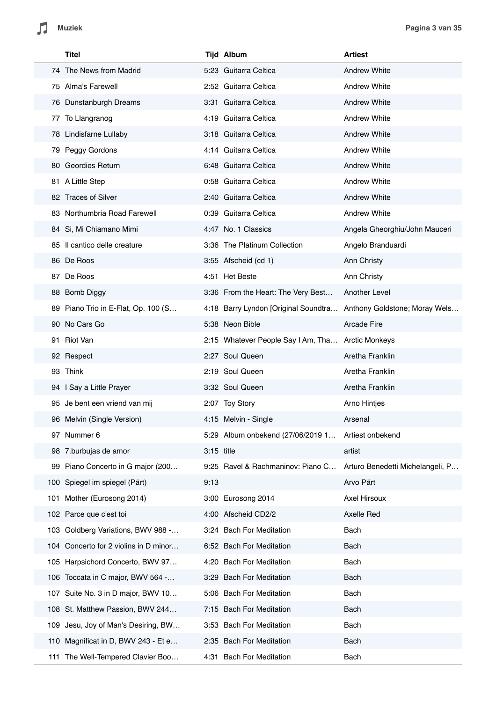Л

|     | Titel                                 |              | <b>Tijd Album</b>                                 | <b>Artiest</b>                   |
|-----|---------------------------------------|--------------|---------------------------------------------------|----------------------------------|
|     | 74 The News from Madrid               |              | 5:23 Guitarra Celtica                             | <b>Andrew White</b>              |
|     | 75 Alma's Farewell                    |              | 2:52 Guitarra Celtica                             | <b>Andrew White</b>              |
|     | 76 Dunstanburgh Dreams                |              | 3:31 Guitarra Celtica                             | <b>Andrew White</b>              |
|     | 77 To Llangranog                      |              | 4:19 Guitarra Celtica                             | <b>Andrew White</b>              |
|     | 78 Lindisfarne Lullaby                |              | 3:18 Guitarra Celtica                             | <b>Andrew White</b>              |
|     | 79 Peggy Gordons                      |              | 4:14 Guitarra Celtica                             | <b>Andrew White</b>              |
|     | 80 Geordies Return                    |              | 6:48 Guitarra Celtica                             | <b>Andrew White</b>              |
|     | 81 A Little Step                      |              | 0:58 Guitarra Celtica                             | <b>Andrew White</b>              |
|     | 82 Traces of Silver                   |              | 2:40 Guitarra Celtica                             | <b>Andrew White</b>              |
|     | 83 Northumbria Road Farewell          |              | 0:39 Guitarra Celtica                             | <b>Andrew White</b>              |
|     | 84 Si, Mi Chiamano Mimi               |              | 4:47 No. 1 Classics                               | Angela Gheorghiu/John Mauceri    |
|     | 85 Il cantico delle creature          |              | 3:36 The Platinum Collection                      | Angelo Branduardi                |
|     | 86 De Roos                            |              | 3:55 Afscheid (cd 1)                              | Ann Christy                      |
|     | 87 De Roos                            |              | 4:51 Het Beste                                    | Ann Christy                      |
|     | 88 Bomb Diggy                         |              | 3:36 From the Heart: The Very Best                | Another Level                    |
|     | 89 Piano Trio in E-Flat, Op. 100 (S   |              | 4:18 Barry Lyndon [Original Soundtra              | Anthony Goldstone; Moray Wels    |
|     | 90 No Cars Go                         |              | 5:38 Neon Bible                                   | <b>Arcade Fire</b>               |
|     | 91 Riot Van                           |              | 2:15 Whatever People Say I Am, Tha Arctic Monkeys |                                  |
|     | 92 Respect                            |              | 2:27 Soul Queen                                   | Aretha Franklin                  |
|     | 93 Think                              |              | 2:19 Soul Queen                                   | Aretha Franklin                  |
|     | 94 I Say a Little Prayer              |              | 3:32 Soul Queen                                   | Aretha Franklin                  |
|     | 95 Je bent een vriend van mij         |              | 2:07 Toy Story                                    | Arno Hintjes                     |
|     | 96 Melvin (Single Version)            |              | 4:15 Melvin - Single                              | Arsenal                          |
|     | 97 Nummer 6                           |              | 5:29 Album onbekend (27/06/2019 1                 | Artiest onbekend                 |
|     | 98 7.burbujas de amor                 | $3:15$ title |                                                   | artist                           |
|     | 99 Piano Concerto in G major (200     |              | 9:25 Ravel & Rachmaninov: Piano C                 | Arturo Benedetti Michelangeli, P |
|     | 100 Spiegel im spiegel (Pärt)         | 9:13         |                                                   | Arvo Pärt                        |
| 101 | Mother (Eurosong 2014)                |              | 3:00 Eurosong 2014                                | Axel Hirsoux                     |
|     | 102 Parce que c'est toi               |              | 4:00 Afscheid CD2/2                               | Axelle Red                       |
|     | 103 Goldberg Variations, BWV 988 -    |              | 3:24 Bach For Meditation                          | Bach                             |
|     | 104 Concerto for 2 violins in D minor |              | 6:52 Bach For Meditation                          | Bach                             |
|     | 105 Harpsichord Concerto, BWV 97      |              | 4:20 Bach For Meditation                          | Bach                             |
|     | 106 Toccata in C major, BWV 564 -     |              | 3:29 Bach For Meditation                          | Bach                             |
|     | 107 Suite No. 3 in D major, BWV 10    |              | 5:06 Bach For Meditation                          | Bach                             |
|     | 108 St. Matthew Passion, BWV 244      |              | 7:15 Bach For Meditation                          | Bach                             |
| 109 | Jesu, Joy of Man's Desiring, BW       |              | 3:53 Bach For Meditation                          | Bach                             |
| 110 | Magnificat in D, BWV 243 - Et e       |              | 2:35 Bach For Meditation                          | Bach                             |
|     | 111 The Well-Tempered Clavier Boo     |              | 4:31 Bach For Meditation                          | Bach                             |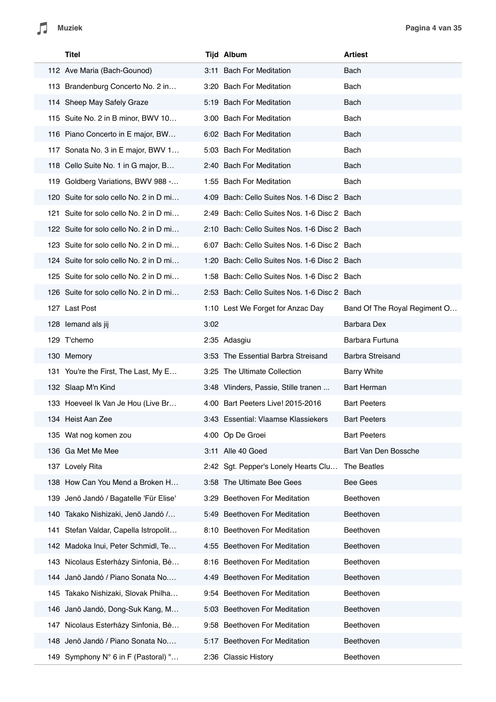| <b>Titel</b>                           |      | <b>Tijd Album</b>                            | <b>Artiest</b>               |
|----------------------------------------|------|----------------------------------------------|------------------------------|
| 112 Ave Maria (Bach-Gounod)            |      | 3:11 Bach For Meditation                     | Bach                         |
| 113 Brandenburg Concerto No. 2 in      |      | 3:20 Bach For Meditation                     | Bach                         |
| 114 Sheep May Safely Graze             |      | 5:19 Bach For Meditation                     | Bach                         |
| 115 Suite No. 2 in B minor, BWV 10     |      | 3:00 Bach For Meditation                     | Bach                         |
| 116 Piano Concerto in E major, BW      |      | 6:02 Bach For Meditation                     | Bach                         |
| 117 Sonata No. 3 in E major, BWV 1     |      | 5:03 Bach For Meditation                     | Bach                         |
| 118 Cello Suite No. 1 in G major, B    |      | 2:40 Bach For Meditation                     | Bach                         |
| 119 Goldberg Variations, BWV 988 -     |      | 1:55 Bach For Meditation                     | Bach                         |
| 120 Suite for solo cello No. 2 in D mi |      | 4:09 Bach: Cello Suites Nos. 1-6 Disc 2 Bach |                              |
| 121 Suite for solo cello No. 2 in D mi |      | 2:49 Bach: Cello Suites Nos. 1-6 Disc 2 Bach |                              |
| 122 Suite for solo cello No. 2 in D mi |      | 2:10 Bach: Cello Suites Nos. 1-6 Disc 2 Bach |                              |
| 123 Suite for solo cello No. 2 in D mi |      | 6:07 Bach: Cello Suites Nos. 1-6 Disc 2 Bach |                              |
| 124 Suite for solo cello No. 2 in D mi |      | 1:20 Bach: Cello Suites Nos. 1-6 Disc 2 Bach |                              |
| 125 Suite for solo cello No. 2 in D mi |      | 1:58 Bach: Cello Suites Nos. 1-6 Disc 2 Bach |                              |
| 126 Suite for solo cello No. 2 in D mi |      | 2:53 Bach: Cello Suites Nos. 1-6 Disc 2 Bach |                              |
| 127 Last Post                          |      | 1:10 Lest We Forget for Anzac Day            | Band Of The Royal Regiment O |
| 128 lemand als jij                     | 3:02 |                                              | <b>Barbara Dex</b>           |
| 129 T'chemo                            |      | 2:35 Adasgiu                                 | Barbara Furtuna              |
| 130 Memory                             |      | 3:53 The Essential Barbra Streisand          | <b>Barbra Streisand</b>      |
| 131 You're the First, The Last, My E   |      | 3:25 The Ultimate Collection                 | <b>Barry White</b>           |
| 132 Slaap M'n Kind                     |      | 3:48 Vlinders, Passie, Stille tranen         | <b>Bart Herman</b>           |
| 133 Hoeveel Ik Van Je Hou (Live Br     |      | 4:00 Bart Peeters Live! 2015-2016            | <b>Bart Peeters</b>          |
| 134 Heist Aan Zee                      |      | 3:43 Essential: Vlaamse Klassiekers          | <b>Bart Peeters</b>          |
| 135 Wat nog komen zou                  |      | 4:00 Op De Groei                             | <b>Bart Peeters</b>          |
| 136 Ga Met Me Mee                      |      | 3:11 Alle 40 Goed                            | Bart Van Den Bossche         |
| 137 Lovely Rita                        |      | 2:42 Sgt. Pepper's Lonely Hearts Clu         | The Beatles                  |
| 138 How Can You Mend a Broken H        |      | 3:58 The Ultimate Bee Gees                   | Bee Gees                     |
| 139 Jenö Jandó / Bagatelle 'Für Elise' | 3:29 | Beethoven For Meditation                     | Beethoven                    |
| 140 Takako Nishizaki, Jenö Jandó /     |      | 5:49 Beethoven For Meditation                | Beethoven                    |
| 141 Stefan Valdar, Capella Istropolit  |      | 8:10 Beethoven For Meditation                | Beethoven                    |
| 142 Madoka Inui, Peter Schmidl, Te     |      | 4:55 Beethoven For Meditation                | Beethoven                    |
| 143 Nicolaus Esterházy Sinfonia, Bé    |      | 8:16 Beethoven For Meditation                | Beethoven                    |
| 144 Janö Jandó / Piano Sonata No       |      | 4:49 Beethoven For Meditation                | Beethoven                    |
| 145 Takako Nishizaki, Slovak Philha    |      | 9:54 Beethoven For Meditation                | Beethoven                    |
| 146 Janö Jandó, Dong-Suk Kang, M       |      | 5:03 Beethoven For Meditation                | Beethoven                    |
| 147 Nicolaus Esterházy Sinfonia, Bé    |      | 9:58 Beethoven For Meditation                | Beethoven                    |
| 148 Jenö Jandó / Piano Sonata No       |      | 5:17 Beethoven For Meditation                | Beethoven                    |
| 149 Symphony N° 6 in F (Pastoral) "    |      | 2:36 Classic History                         | Beethoven                    |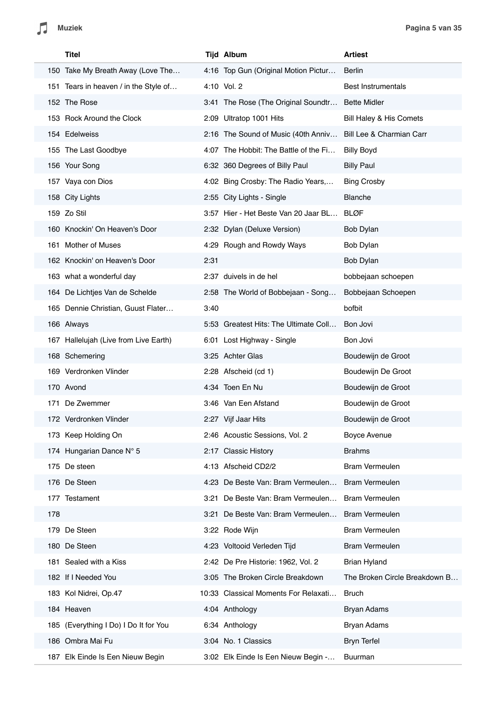

| Titel                                 |      | <b>Tijd Album</b>                     | <b>Artiest</b>                |
|---------------------------------------|------|---------------------------------------|-------------------------------|
| 150 Take My Breath Away (Love The     |      | 4:16 Top Gun (Original Motion Pictur  | <b>Berlin</b>                 |
| 151 Tears in heaven / in the Style of |      | 4:10 Vol. 2                           | <b>Best Instrumentals</b>     |
| 152 The Rose                          |      | 3:41 The Rose (The Original Soundtr   | <b>Bette Midler</b>           |
| 153 Rock Around the Clock             |      | 2:09 Ultratop 1001 Hits               | Bill Haley & His Comets       |
| 154 Edelweiss                         |      | 2:16 The Sound of Music (40th Anniv   | Bill Lee & Charmian Carr      |
| 155 The Last Goodbye                  |      | 4:07 The Hobbit: The Battle of the Fi | <b>Billy Boyd</b>             |
| 156 Your Song                         |      | 6:32 360 Degrees of Billy Paul        | <b>Billy Paul</b>             |
| 157 Vaya con Dios                     |      | 4:02 Bing Crosby: The Radio Years,    | <b>Bing Crosby</b>            |
| 158 City Lights                       |      | 2:55 City Lights - Single             | <b>Blanche</b>                |
| 159 Zo Stil                           |      | 3:57 Hier - Het Beste Van 20 Jaar BL  | <b>BLØF</b>                   |
| 160 Knockin' On Heaven's Door         |      | 2:32 Dylan (Deluxe Version)           | Bob Dylan                     |
| 161 Mother of Muses                   |      | 4:29 Rough and Rowdy Ways             | Bob Dylan                     |
| 162 Knockin' on Heaven's Door         | 2:31 |                                       | Bob Dylan                     |
| 163 what a wonderful day              |      | 2:37 duivels in de hel                | bobbejaan schoepen            |
| 164 De Lichtjes Van de Schelde        |      | 2:58 The World of Bobbejaan - Song    | Bobbejaan Schoepen            |
| 165 Dennie Christian, Guust Flater    | 3:40 |                                       | bofbit                        |
| 166 Always                            |      | 5:53 Greatest Hits: The Ultimate Coll | Bon Jovi                      |
| 167 Hallelujah (Live from Live Earth) |      | 6:01 Lost Highway - Single            | Bon Jovi                      |
| 168 Schemering                        |      | 3:25 Achter Glas                      | Boudewijn de Groot            |
| 169 Verdronken Vlinder                |      | 2:28 Afscheid (cd 1)                  | Boudewijn De Groot            |
| 170 Avond                             |      | 4:34 Toen En Nu                       | Boudewijn de Groot            |
| 171 De Zwemmer                        |      | 3:46 Van Een Afstand                  | Boudewijn de Groot            |
| 172 Verdronken Vlinder                |      | 2:27 Vijf Jaar Hits                   | Boudewiin de Groot            |
| 173 Keep Holding On                   |      | 2:46 Acoustic Sessions, Vol. 2        | Boyce Avenue                  |
| 174 Hungarian Dance N° 5              |      | 2:17 Classic History                  | <b>Brahms</b>                 |
| 175 De steen                          |      | 4:13 Afscheid CD2/2                   | <b>Bram Vermeulen</b>         |
| 176 De Steen                          |      | 4:23 De Beste Van: Bram Vermeulen     | <b>Bram Vermeulen</b>         |
| 177 Testament                         |      | 3:21 De Beste Van: Bram Vermeulen     | <b>Bram Vermeulen</b>         |
| 178                                   |      | 3:21 De Beste Van: Bram Vermeulen     | <b>Bram Vermeulen</b>         |
| 179 De Steen                          |      | 3:22 Rode Wijn                        | <b>Bram Vermeulen</b>         |
| 180 De Steen                          |      | 4:23 Voltooid Verleden Tijd           | <b>Bram Vermeulen</b>         |
| 181 Sealed with a Kiss                |      | 2:42 De Pre Historie: 1962, Vol. 2    | <b>Brian Hyland</b>           |
| 182 If I Needed You                   |      | 3:05 The Broken Circle Breakdown      | The Broken Circle Breakdown B |
| 183 Kol Nidrei, Op.47                 |      | 10:33 Classical Moments For Relaxati  | <b>Bruch</b>                  |
| 184 Heaven                            |      | 4:04 Anthology                        | <b>Bryan Adams</b>            |
| 185 (Everything I Do) I Do It for You |      | 6:34 Anthology                        | <b>Bryan Adams</b>            |
| 186 Ombra Mai Fu                      |      | 3:04 No. 1 Classics                   | <b>Bryn Terfel</b>            |
| 187 Elk Einde Is Een Nieuw Begin      |      | 3:02 Elk Einde Is Een Nieuw Begin -   | Buurman                       |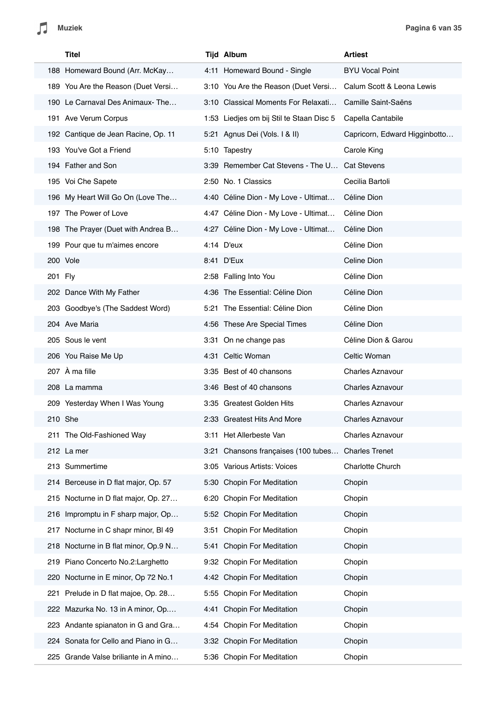|         | Titel                                | <b>Tijd Album</b>                             | <b>Artiest</b>                |
|---------|--------------------------------------|-----------------------------------------------|-------------------------------|
|         | 188 Homeward Bound (Arr. McKay       | 4:11 Homeward Bound - Single                  | <b>BYU Vocal Point</b>        |
|         | 189 You Are the Reason (Duet Versi   | 3:10 You Are the Reason (Duet Versi           | Calum Scott & Leona Lewis     |
|         | 190 Le Carnaval Des Animaux-The      | 3:10 Classical Moments For Relaxati           | Camille Saint-Saëns           |
|         | 191 Ave Verum Corpus                 | 1:53 Liedjes om bij Stil te Staan Disc 5      | Capella Cantabile             |
|         | 192 Cantique de Jean Racine, Op. 11  | 5:21 Agnus Dei (Vols. I & II)                 | Capricorn, Edward Higginbotto |
|         | 193 You've Got a Friend              | 5:10 Tapestry                                 | Carole King                   |
|         | 194 Father and Son                   | 3:39 Remember Cat Stevens - The U Cat Stevens |                               |
|         | 195 Voi Che Sapete                   | 2:50 No. 1 Classics                           | Cecilia Bartoli               |
|         | 196 My Heart Will Go On (Love The    | 4:40 Céline Dion - My Love - Ultimat          | Céline Dion                   |
|         | 197 The Power of Love                | 4:47 Céline Dion - My Love - Ultimat          | Céline Dion                   |
|         | 198 The Prayer (Duet with Andrea B   | 4:27 Céline Dion - My Love - Ultimat          | Céline Dion                   |
|         | 199 Pour que tu m'aimes encore       | 4:14 D'eux                                    | Céline Dion                   |
|         | 200 Vole                             | 8:41 D'Eux                                    | Celine Dion                   |
| 201 Fly |                                      | 2:58 Falling Into You                         | Céline Dion                   |
|         | 202 Dance With My Father             | 4:36 The Essential: Céline Dion               | Céline Dion                   |
|         | 203 Goodbye's (The Saddest Word)     | 5:21 The Essential: Céline Dion               | Céline Dion                   |
|         | 204 Ave Maria                        | 4:56 These Are Special Times                  | Céline Dion                   |
|         | 205 Sous le vent                     | 3:31 On ne change pas                         | Céline Dion & Garou           |
|         | 206 You Raise Me Up                  | 4:31 Celtic Woman                             | Celtic Woman                  |
|         | 207 À ma fille                       | 3:35 Best of 40 chansons                      | <b>Charles Aznavour</b>       |
|         | 208 La mamma                         | 3:46 Best of 40 chansons                      | <b>Charles Aznavour</b>       |
|         | 209 Yesterday When I Was Young       | 3:35 Greatest Golden Hits                     | <b>Charles Aznavour</b>       |
|         | 210 She                              | 2:33 Greatest Hits And More                   | <b>Charles Aznavour</b>       |
|         | 211 The Old-Fashioned Way            | 3:11 Het Allerbeste Van                       | <b>Charles Aznavour</b>       |
|         | 212 La mer                           | 3:21 Chansons françaises (100 tubes           | <b>Charles Trenet</b>         |
|         | 213 Summertime                       | 3:05 Various Artists: Voices                  | Charlotte Church              |
|         | 214 Berceuse in D flat major, Op. 57 | 5:30 Chopin For Meditation                    | Chopin                        |
|         | 215 Nocturne in D flat major, Op. 27 | 6:20 Chopin For Meditation                    | Chopin                        |
|         | 216 Impromptu in F sharp major, Op   | 5:52 Chopin For Meditation                    | Chopin                        |
|         | 217 Nocturne in C shapr minor, BI 49 | 3:51 Chopin For Meditation                    | Chopin                        |
|         | 218 Nocturne in B flat minor, Op.9 N | 5:41 Chopin For Meditation                    | Chopin                        |
|         | 219 Piano Concerto No.2: Larghetto   | 9:32 Chopin For Meditation                    | Chopin                        |
|         | 220 Nocturne in E minor, Op 72 No.1  | 4:42 Chopin For Meditation                    | Chopin                        |
| 221     | Prelude in D flat majoe, Op. 28      | 5:55 Chopin For Meditation                    | Chopin                        |
|         | 222 Mazurka No. 13 in A minor, Op    | 4:41 Chopin For Meditation                    | Chopin                        |
|         | 223 Andante spianaton in G and Gra   | 4:54 Chopin For Meditation                    | Chopin                        |
|         | 224 Sonata for Cello and Piano in G  | 3:32 Chopin For Meditation                    | Chopin                        |
|         | 225 Grande Valse briliante in A mino | 5:36 Chopin For Meditation                    | Chopin                        |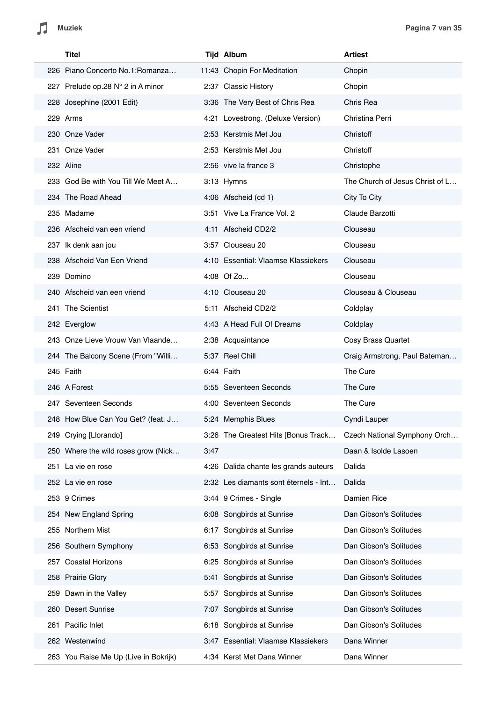|     | <b>Titel</b>                          |      | <b>Tijd Album</b>                     | <b>Artiest</b>                  |
|-----|---------------------------------------|------|---------------------------------------|---------------------------------|
|     | 226 Piano Concerto No.1: Romanza      |      | 11:43 Chopin For Meditation           | Chopin                          |
|     | 227 Prelude op.28 N° 2 in A minor     |      | 2:37 Classic History                  | Chopin                          |
|     | 228 Josephine (2001 Edit)             |      | 3:36 The Very Best of Chris Rea       | Chris Rea                       |
|     | 229 Arms                              |      | 4:21 Lovestrong. (Deluxe Version)     | Christina Perri                 |
|     | 230 Onze Vader                        |      | 2:53 Kerstmis Met Jou                 | Christoff                       |
|     | 231 Onze Vader                        |      | 2:53 Kerstmis Met Jou                 | Christoff                       |
|     | 232 Aline                             |      | 2:56 vive la france 3                 | Christophe                      |
|     | 233 God Be with You Till We Meet A    |      | 3:13 Hymns                            | The Church of Jesus Christ of L |
|     | 234 The Road Ahead                    |      | 4:06 Afscheid (cd 1)                  | City To City                    |
|     | 235 Madame                            |      | 3:51 Vive La France Vol. 2            | Claude Barzotti                 |
|     | 236 Afscheid van een vriend           |      | 4:11 Afscheid CD2/2                   | Clouseau                        |
|     | 237 Ik denk aan jou                   |      | 3:57 Clouseau 20                      | Clouseau                        |
|     | 238 Afscheid Van Een Vriend           |      | 4:10 Essential: Vlaamse Klassiekers   | Clouseau                        |
|     | 239 Domino                            |      | 4:08 Of Zo                            | Clouseau                        |
|     | 240 Afscheid van een vriend           |      | 4:10 Clouseau 20                      | Clouseau & Clouseau             |
|     | 241 The Scientist                     |      | 5:11 Afscheid CD2/2                   | Coldplay                        |
|     | 242 Everglow                          |      | 4:43 A Head Full Of Dreams            | Coldplay                        |
|     | 243 Onze Lieve Vrouw Van Vlaande      |      | 2:38 Acquaintance                     | Cosy Brass Quartet              |
|     | 244 The Balcony Scene (From "Willi    |      | 5:37 Reel Chill                       | Craig Armstrong, Paul Bateman   |
|     | 245 Faith                             |      | 6:44 Faith                            | The Cure                        |
|     | 246 A Forest                          |      | 5:55 Seventeen Seconds                | The Cure                        |
|     | 247 Seventeen Seconds                 |      | 4:00 Seventeen Seconds                | The Cure                        |
|     | 248 How Blue Can You Get? (feat. J    |      | 5:24 Memphis Blues                    | Cyndi Lauper                    |
|     | 249 Crying [Llorando]                 |      | 3:26 The Greatest Hits [Bonus Track   | Czech National Symphony Orch    |
|     | 250 Where the wild roses grow (Nick   | 3:47 |                                       | Daan & Isolde Lasoen            |
|     | 251 La vie en rose                    |      | 4:26 Dalida chante les grands auteurs | Dalida                          |
|     | 252 La vie en rose                    |      | 2:32 Les diamants sont éternels - Int | Dalida                          |
|     | 253 9 Crimes                          |      | 3:44 9 Crimes - Single                | Damien Rice                     |
|     | 254 New England Spring                |      | 6:08 Songbirds at Sunrise             | Dan Gibson's Solitudes          |
|     | 255 Northern Mist                     |      | 6:17 Songbirds at Sunrise             | Dan Gibson's Solitudes          |
|     | 256 Southern Symphony                 |      | 6:53 Songbirds at Sunrise             | Dan Gibson's Solitudes          |
| 257 | <b>Coastal Horizons</b>               |      | 6:25 Songbirds at Sunrise             | Dan Gibson's Solitudes          |
|     | 258 Prairie Glory                     | 5:41 | Songbirds at Sunrise                  | Dan Gibson's Solitudes          |
|     | 259 Dawn in the Valley                | 5:57 | Songbirds at Sunrise                  | Dan Gibson's Solitudes          |
|     | 260 Desert Sunrise                    |      | 7:07 Songbirds at Sunrise             | Dan Gibson's Solitudes          |
| 261 | Pacific Inlet                         |      | 6:18 Songbirds at Sunrise             | Dan Gibson's Solitudes          |
|     | 262 Westenwind                        |      | 3:47 Essential: Vlaamse Klassiekers   | Dana Winner                     |
|     | 263 You Raise Me Up (Live in Bokrijk) |      | 4:34 Kerst Met Dana Winner            | Dana Winner                     |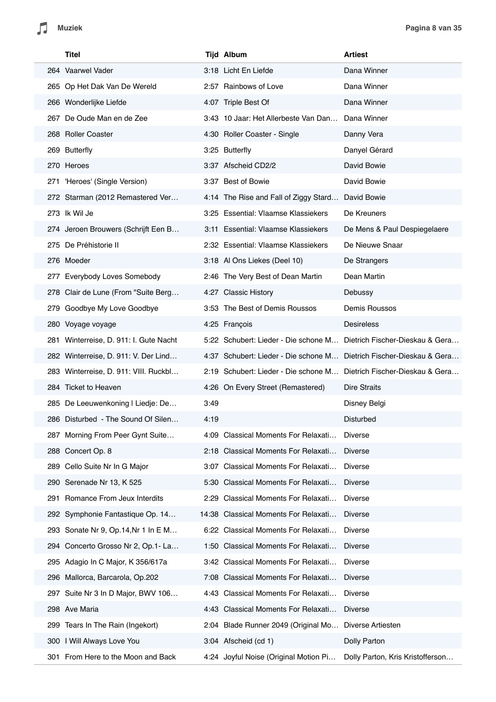| Titel                                  | <b>Tijd Album</b>                                                    | <b>Artiest</b>                   |
|----------------------------------------|----------------------------------------------------------------------|----------------------------------|
| 264 Vaarwel Vader                      | 3:18 Licht En Liefde                                                 | Dana Winner                      |
| 265 Op Het Dak Van De Wereld           | 2:57 Rainbows of Love                                                | Dana Winner                      |
| 266 Wonderlijke Liefde                 | 4:07 Triple Best Of                                                  | Dana Winner                      |
| 267 De Oude Man en de Zee              | 3:43 10 Jaar: Het Allerbeste Van Dan                                 | Dana Winner                      |
| 268 Roller Coaster                     | 4:30 Roller Coaster - Single                                         | Danny Vera                       |
| 269 Butterfly                          | 3:25 Butterfly                                                       | Danyel Gérard                    |
| 270 Heroes                             | 3:37 Afscheid CD2/2                                                  | David Bowie                      |
| 271 'Heroes' (Single Version)          | 3:37 Best of Bowie                                                   | David Bowie                      |
| 272 Starman (2012 Remastered Ver       | 4:14 The Rise and Fall of Ziggy Stard                                | David Bowie                      |
| 273 Ik Wil Je                          | 3:25 Essential: Vlaamse Klassiekers                                  | De Kreuners                      |
| 274 Jeroen Brouwers (Schrijft Een B    | 3:11 Essential: Vlaamse Klassiekers                                  | De Mens & Paul Despiegelaere     |
| 275 De Préhistorie II                  | 2:32 Essential: Vlaamse Klassiekers                                  | De Nieuwe Snaar                  |
| 276 Moeder                             | 3:18 Al Ons Liekes (Deel 10)                                         | De Strangers                     |
| 277 Everybody Loves Somebody           | 2:46 The Very Best of Dean Martin                                    | Dean Martin                      |
| 278 Clair de Lune (From "Suite Berg    | 4:27 Classic History                                                 | Debussy                          |
| 279 Goodbye My Love Goodbye            | 3:53 The Best of Demis Roussos                                       | Demis Roussos                    |
| 280 Voyage voyage                      | 4:25 François                                                        | <b>Desireless</b>                |
| 281 Winterreise, D. 911: I. Gute Nacht | 5:22 Schubert: Lieder - Die schone M                                 | Dietrich Fischer-Dieskau & Gera  |
| 282 Winterreise, D. 911: V. Der Lind   | 4:37 Schubert: Lieder - Die schone M Dietrich Fischer-Dieskau & Gera |                                  |
| 283 Winterreise, D. 911: VIII. Ruckbl  | 2:19 Schubert: Lieder - Die schone M Dietrich Fischer-Dieskau & Gera |                                  |
| 284 Ticket to Heaven                   | 4:26 On Every Street (Remastered)                                    | <b>Dire Straits</b>              |
| 285 De Leeuwenkoning I Liedje: De      | 3:49                                                                 | Disney Belgi                     |
| 286 Disturbed - The Sound Of Silen     | 4:19                                                                 | Disturbed                        |
| 287 Morning From Peer Gynt Suite       | 4:09 Classical Moments For Relaxati                                  | <b>Diverse</b>                   |
| 288 Concert Op. 8                      | 2:18 Classical Moments For Relaxati                                  | <b>Diverse</b>                   |
| Cello Suite Nr In G Major<br>289       | 3:07 Classical Moments For Relaxati                                  | <b>Diverse</b>                   |
| Serenade Nr 13, K 525<br>290           | 5:30 Classical Moments For Relaxati                                  | <b>Diverse</b>                   |
| Romance From Jeux Interdits<br>291     | 2:29 Classical Moments For Relaxati                                  | <b>Diverse</b>                   |
| 292 Symphonie Fantastique Op. 14       | 14:38 Classical Moments For Relaxati                                 | <b>Diverse</b>                   |
| 293 Sonate Nr 9, Op.14, Nr 1 In E M    | 6:22 Classical Moments For Relaxati                                  | <b>Diverse</b>                   |
| 294 Concerto Grosso Nr 2, Op.1- La     | 1:50 Classical Moments For Relaxati                                  | <b>Diverse</b>                   |
| Adagio In C Major, K 356/617a<br>295   | 3:42 Classical Moments For Relaxati                                  | <b>Diverse</b>                   |
| Mallorca, Barcarola, Op.202<br>296     | 7:08 Classical Moments For Relaxati                                  | <b>Diverse</b>                   |
| Suite Nr 3 In D Major, BWV 106<br>297  | 4:43 Classical Moments For Relaxati                                  | <b>Diverse</b>                   |
| Ave Maria<br>298                       | 4:43 Classical Moments For Relaxati                                  | <b>Diverse</b>                   |
| Tears In The Rain (Ingekort)<br>299    | 2:04 Blade Runner 2049 (Original Mo                                  | Diverse Artiesten                |
| 300 I Will Always Love You             | 3:04 Afscheid (cd 1)                                                 | Dolly Parton                     |
| From Here to the Moon and Back<br>301  | 4:24 Joyful Noise (Original Motion Pi                                | Dolly Parton, Kris Kristofferson |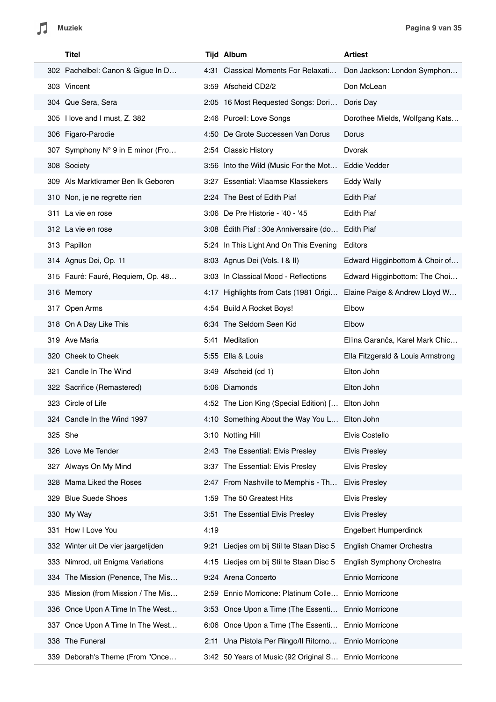|     | Titel                               |      | <b>Tijd Album</b>                                     | <b>Artiest</b>                    |
|-----|-------------------------------------|------|-------------------------------------------------------|-----------------------------------|
|     | 302 Pachelbel: Canon & Gigue In D   |      | 4:31 Classical Moments For Relaxati                   | Don Jackson: London Symphon       |
|     | 303 Vincent                         |      | 3:59 Afscheid CD2/2                                   | Don McLean                        |
|     | 304 Que Sera, Sera                  |      | 2:05 16 Most Requested Songs: Dori                    | Doris Day                         |
|     | 305 I love and I must, Z. 382       |      | 2:46 Purcell: Love Songs                              | Dorothee Mields, Wolfgang Kats    |
|     | 306 Figaro-Parodie                  |      | 4:50 De Grote Successen Van Dorus                     | Dorus                             |
|     | 307 Symphony N° 9 in E minor (Fro   |      | 2:54 Classic History                                  | Dvorak                            |
|     | 308 Society                         |      | 3:56 Into the Wild (Music For the Mot                 | Eddie Vedder                      |
|     | 309 Als Marktkramer Ben Ik Geboren  |      | 3:27 Essential: Vlaamse Klassiekers                   | <b>Eddy Wally</b>                 |
|     | 310 Non, je ne regrette rien        |      | 2:24 The Best of Edith Piaf                           | <b>Edith Piaf</b>                 |
|     | 311 La vie en rose                  |      | 3:06 De Pre Historie - '40 - '45                      | <b>Edith Piaf</b>                 |
|     | 312 La vie en rose                  |      | 3:08 Edith Piaf: 30e Anniversaire (do Edith Piaf      |                                   |
|     | 313 Papillon                        |      | 5:24 In This Light And On This Evening                | Editors                           |
|     | 314 Agnus Dei, Op. 11               |      | 8:03 Agnus Dei (Vols. I & II)                         | Edward Higginbottom & Choir of    |
|     | 315 Fauré: Fauré, Requiem, Op. 48   |      | 3:03 In Classical Mood - Reflections                  | Edward Higginbottom: The Choi     |
|     | 316 Memory                          |      | 4:17 Highlights from Cats (1981 Origi                 | Elaine Paige & Andrew Lloyd W     |
|     | 317 Open Arms                       |      | 4:54 Build A Rocket Boys!                             | Elbow                             |
|     | 318 On A Day Like This              |      | 6:34 The Seldom Seen Kid                              | Elbow                             |
|     | 319 Ave Maria                       |      | 5:41 Meditation                                       | Elīna Garanča, Karel Mark Chic    |
|     | 320 Cheek to Cheek                  |      | 5:55 Ella & Louis                                     | Ella Fitzgerald & Louis Armstrong |
|     | 321 Candle In The Wind              |      | 3:49 Afscheid (cd 1)                                  | Elton John                        |
|     | 322 Sacrifice (Remastered)          |      | 5:06 Diamonds                                         | Elton John                        |
|     | 323 Circle of Life                  |      | 4:52 The Lion King (Special Edition) [ Elton John     |                                   |
|     | 324 Candle In the Wind 1997         |      | 4:10 Something About the Way You L Elton John         |                                   |
|     | 325 She                             |      | 3:10 Notting Hill                                     | Elvis Costello                    |
|     | 326 Love Me Tender                  |      | 2:43 The Essential: Elvis Presley                     | <b>Elvis Presley</b>              |
|     | 327 Always On My Mind               |      | 3:37 The Essential: Elvis Presley                     | <b>Elvis Presley</b>              |
|     | 328 Mama Liked the Roses            |      | 2:47 From Nashville to Memphis - Th                   | <b>Elvis Presley</b>              |
| 329 | <b>Blue Suede Shoes</b>             |      | 1:59 The 50 Greatest Hits                             | <b>Elvis Presley</b>              |
|     | 330 My Way                          |      | 3:51 The Essential Elvis Presley                      | <b>Elvis Presley</b>              |
| 331 | How I Love You                      | 4:19 |                                                       | <b>Engelbert Humperdinck</b>      |
|     | 332 Winter uit De vier jaargetijden |      | 9:21 Liedjes om bij Stil te Staan Disc 5              | English Chamer Orchestra          |
|     | 333 Nimrod, uit Enigma Variations   |      | 4:15 Liedjes om bij Stil te Staan Disc 5              | English Symphony Orchestra        |
|     | 334 The Mission (Penence, The Mis   |      | 9:24 Arena Concerto                                   | Ennio Morricone                   |
| 335 | Mission (from Mission / The Mis     |      | 2:59 Ennio Morricone: Platinum Colle                  | Ennio Morricone                   |
|     | 336 Once Upon A Time In The West    |      | 3:53 Once Upon a Time (The Essenti                    | <b>Ennio Morricone</b>            |
|     | 337 Once Upon A Time In The West    |      | 6:06 Once Upon a Time (The Essenti                    | Ennio Morricone                   |
|     | 338 The Funeral                     |      | 2:11 Una Pistola Per Ringo/Il Ritorno Ennio Morricone |                                   |
|     | 339 Deborah's Theme (From "Once     |      | 3:42 50 Years of Music (92 Original S Ennio Morricone |                                   |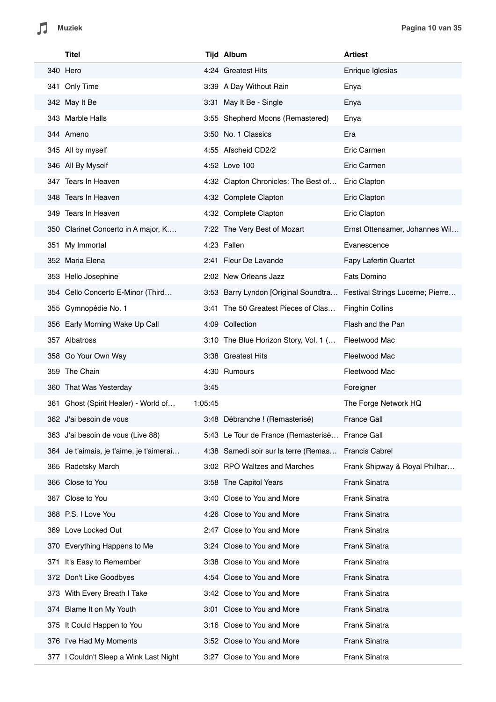|     | Titel                                    |         | <b>Tijd Album</b>                               | <b>Artiest</b>                   |
|-----|------------------------------------------|---------|-------------------------------------------------|----------------------------------|
|     | 340 Hero                                 |         | 4:24 Greatest Hits                              | Enrique Iglesias                 |
|     | 341 Only Time                            |         | 3:39 A Day Without Rain                         | Enya                             |
|     | 342 May It Be                            |         | 3:31 May It Be - Single                         | Enya                             |
|     | 343 Marble Halls                         |         | 3:55 Shepherd Moons (Remastered)                | Enya                             |
|     | 344 Ameno                                |         | 3:50 No. 1 Classics                             | Era                              |
|     | 345 All by myself                        |         | 4:55 Afscheid CD2/2                             | Eric Carmen                      |
|     | 346 All By Myself                        |         | 4:52 Love 100                                   | Eric Carmen                      |
|     | 347 Tears In Heaven                      |         | 4:32 Clapton Chronicles: The Best of            | Eric Clapton                     |
|     | 348 Tears In Heaven                      |         | 4:32 Complete Clapton                           | Eric Clapton                     |
|     | 349 Tears In Heaven                      |         | 4:32 Complete Clapton                           | Eric Clapton                     |
|     | 350 Clarinet Concerto in A major, K      |         | 7:22 The Very Best of Mozart                    | Ernst Ottensamer, Johannes Wil   |
|     | 351 My Immortal                          |         | 4:23 Fallen                                     | Evanescence                      |
|     | 352 Maria Elena                          |         | 2:41 Fleur De Lavande                           | <b>Fapy Lafertin Quartet</b>     |
|     | 353 Hello Josephine                      |         | 2:02 New Orleans Jazz                           | Fats Domino                      |
|     | 354 Cello Concerto E-Minor (Third        |         | 3:53 Barry Lyndon [Original Soundtra            | Festival Strings Lucerne; Pierre |
|     | 355 Gymnopédie No. 1                     |         | 3:41 The 50 Greatest Pieces of Clas             | <b>Finghin Collins</b>           |
|     | 356 Early Morning Wake Up Call           |         | 4:09 Collection                                 | Flash and the Pan                |
|     | 357 Albatross                            |         | 3:10 The Blue Horizon Story, Vol. 1 (           | Fleetwood Mac                    |
|     | 358 Go Your Own Way                      |         | 3:38 Greatest Hits                              | Fleetwood Mac                    |
|     | 359 The Chain                            |         | 4:30 Rumours                                    | Fleetwood Mac                    |
|     | 360 That Was Yesterday                   | 3:45    |                                                 | Foreigner                        |
|     | 361 Ghost (Spirit Healer) - World of     | 1:05:45 |                                                 | The Forge Network HQ             |
|     | 362 J'ai besoin de vous                  |         | 3:48 Débranche ! (Remasterisé)                  | <b>France Gall</b>               |
|     | 363 J'ai besoin de vous (Live 88)        |         | 5:43 Le Tour de France (Remasterisé France Gall |                                  |
|     | 364 Je t'aimais, je t'aime, je t'aimerai |         | 4:38 Samedi soir sur la terre (Remas            | <b>Francis Cabrel</b>            |
| 365 | Radetsky March                           |         | 3:02 RPO Waltzes and Marches                    | Frank Shipway & Royal Philhar    |
|     | 366 Close to You                         |         | 3:58 The Capitol Years                          | Frank Sinatra                    |
| 367 | Close to You                             |         | 3:40 Close to You and More                      | Frank Sinatra                    |
|     | 368 P.S. I Love You                      |         | 4:26 Close to You and More                      | Frank Sinatra                    |
|     | 369 Love Locked Out                      |         | 2:47 Close to You and More                      | Frank Sinatra                    |
|     | 370 Everything Happens to Me             |         | 3:24 Close to You and More                      | Frank Sinatra                    |
| 371 | It's Easy to Remember                    |         | 3:38 Close to You and More                      | Frank Sinatra                    |
| 372 | Don't Like Goodbyes                      |         | 4:54 Close to You and More                      | Frank Sinatra                    |
| 373 | With Every Breath I Take                 |         | 3:42 Close to You and More                      | Frank Sinatra                    |
|     | 374 Blame It on My Youth                 |         | 3:01 Close to You and More                      | Frank Sinatra                    |
|     | 375 It Could Happen to You               |         | 3:16 Close to You and More                      | Frank Sinatra                    |
|     | 376 I've Had My Moments                  |         | 3:52 Close to You and More                      | Frank Sinatra                    |
|     | 377 I Couldn't Sleep a Wink Last Night   | 3:27    | Close to You and More                           | Frank Sinatra                    |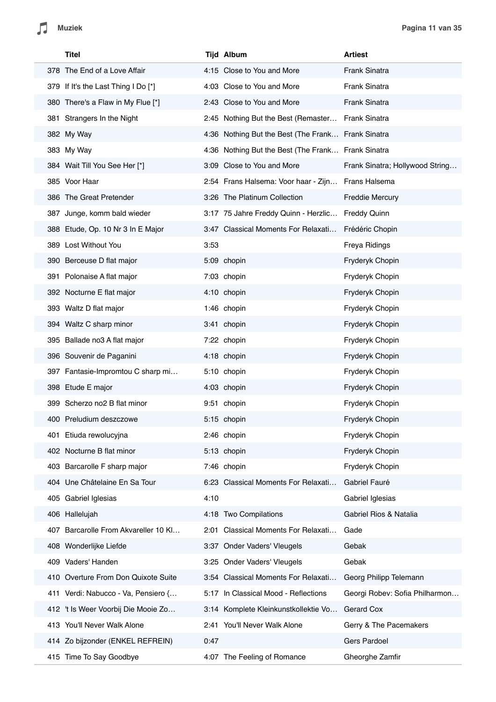|     | Titel                                |      | <b>Tijd Album</b>                                  | <b>Artiest</b>                  |
|-----|--------------------------------------|------|----------------------------------------------------|---------------------------------|
|     | 378 The End of a Love Affair         |      | 4:15 Close to You and More                         | Frank Sinatra                   |
|     | 379 If It's the Last Thing I Do [*]  |      | 4:03 Close to You and More                         | Frank Sinatra                   |
|     | 380 There's a Flaw in My Flue [*]    |      | 2:43 Close to You and More                         | Frank Sinatra                   |
|     | 381 Strangers In the Night           |      | 2:45 Nothing But the Best (Remaster                | Frank Sinatra                   |
|     | 382 My Way                           |      | 4:36 Nothing But the Best (The Frank Frank Sinatra |                                 |
|     | 383 My Way                           |      | 4:36 Nothing But the Best (The Frank Frank Sinatra |                                 |
|     | 384 Wait Till You See Her [*]        |      | 3:09 Close to You and More                         | Frank Sinatra; Hollywood String |
|     | 385 Voor Haar                        |      | 2:54 Frans Halsema: Voor haar - Zijn               | Frans Halsema                   |
|     | 386 The Great Pretender              |      | 3:26 The Platinum Collection                       | <b>Freddie Mercury</b>          |
|     | 387 Junge, komm bald wieder          |      | 3:17 75 Jahre Freddy Quinn - Herzlic               | <b>Freddy Quinn</b>             |
|     | 388 Etude, Op. 10 Nr 3 In E Major    |      | 3:47 Classical Moments For Relaxati                | Frédéric Chopin                 |
|     | 389 Lost Without You                 | 3:53 |                                                    | Freya Ridings                   |
|     | 390 Berceuse D flat major            |      | 5:09 chopin                                        | Fryderyk Chopin                 |
|     | 391 Polonaise A flat major           |      | 7:03 chopin                                        | Fryderyk Chopin                 |
|     | 392 Nocturne E flat major            |      | 4:10 chopin                                        | Fryderyk Chopin                 |
|     | 393 Waltz D flat major               |      | 1:46 chopin                                        | Fryderyk Chopin                 |
|     | 394 Waltz C sharp minor              |      | 3:41 chopin                                        | Fryderyk Chopin                 |
|     | 395 Ballade no3 A flat major         |      | 7:22 chopin                                        | Fryderyk Chopin                 |
|     | 396 Souvenir de Paganini             |      | 4:18 chopin                                        | Fryderyk Chopin                 |
|     | 397 Fantasie-Impromtou C sharp mi    |      | 5:10 chopin                                        | Fryderyk Chopin                 |
|     | 398 Etude E major                    |      | 4:03 chopin                                        | Fryderyk Chopin                 |
|     | 399 Scherzo no2 B flat minor         |      | 9:51 chopin                                        | Fryderyk Chopin                 |
|     | 400 Preludium deszczowe              |      | 5:15 chopin                                        | Fryderyk Chopin                 |
|     | 401 Etiuda rewolucyjna               |      | 2:46 chopin                                        | Fryderyk Chopin                 |
|     | 402 Nocturne B flat minor            |      | 5:13 chopin                                        | Fryderyk Chopin                 |
|     | 403 Barcarolle F sharp major         |      | 7:46 chopin                                        | Fryderyk Chopin                 |
|     | 404 Une Châtelaine En Sa Tour        |      | 6:23 Classical Moments For Relaxati                | Gabriel Fauré                   |
|     | 405 Gabriel Iglesias                 | 4:10 |                                                    | Gabriel Iglesias                |
|     | 406 Hallelujah                       |      | 4:18 Two Compilations                              | Gabriel Rios & Natalia          |
|     | 407 Barcarolle From Akvareller 10 Kl |      | 2:01 Classical Moments For Relaxati                | Gade                            |
|     | 408 Wonderlijke Liefde               |      | 3:37 Onder Vaders' Vleugels                        | Gebak                           |
| 409 | Vaders' Handen                       |      | 3:25 Onder Vaders' Vleugels                        | Gebak                           |
| 410 | Overture From Don Quixote Suite      |      | 3:54 Classical Moments For Relaxati                | Georg Philipp Telemann          |
|     | 411 Verdi: Nabucco - Va, Pensiero {  | 5:17 | In Classical Mood - Reflections                    | Georgi Robev: Sofia Philharmon  |
|     | 412 't Is Weer Voorbij Die Mooie Zo  |      | 3:14 Komplete Kleinkunstkollektie Vo               | Gerard Cox                      |
|     | 413 You'll Never Walk Alone          |      | 2:41 You'll Never Walk Alone                       | Gerry & The Pacemakers          |
|     | 414 Zo bijzonder (ENKEL REFREIN)     | 0:47 |                                                    | <b>Gers Pardoel</b>             |
|     | 415 Time To Say Goodbye              |      | 4:07 The Feeling of Romance                        | Gheorghe Zamfir                 |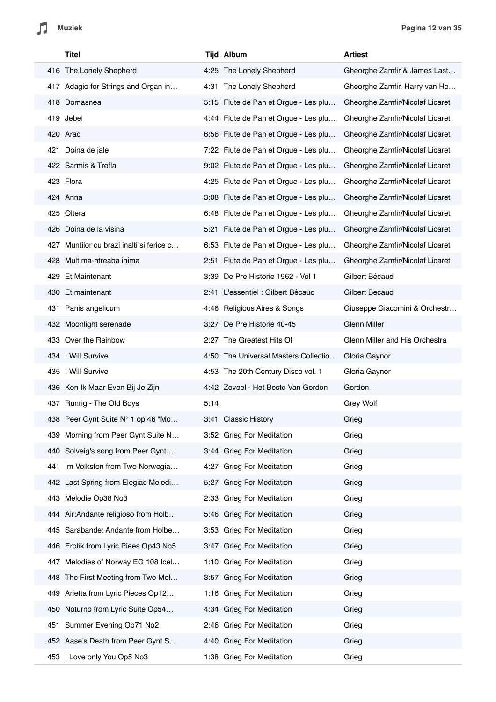|          | <b>Titel</b>                             |      | <b>Tijd Album</b>                    | <b>Artiest</b>                  |
|----------|------------------------------------------|------|--------------------------------------|---------------------------------|
|          | 416 The Lonely Shepherd                  |      | 4:25 The Lonely Shepherd             | Gheorghe Zamfir & James Last    |
|          | 417 Adagio for Strings and Organ in      |      | 4:31 The Lonely Shepherd             | Gheorghe Zamfir, Harry van Ho   |
|          | 418 Domasnea                             |      | 5:15 Flute de Pan et Orgue - Les plu | Gheorghe Zamfir/Nicolaf Licaret |
|          | 419 Jebel                                |      | 4:44 Flute de Pan et Orgue - Les plu | Gheorghe Zamfir/Nicolaf Licaret |
| 420 Arad |                                          |      | 6:56 Flute de Pan et Orgue - Les plu | Gheorghe Zamfir/Nicolaf Licaret |
|          | 421 Doina de jale                        |      | 7:22 Flute de Pan et Orgue - Les plu | Gheorghe Zamfir/Nicolaf Licaret |
|          | 422 Sarmis & Trefla                      |      | 9:02 Flute de Pan et Orgue - Les plu | Gheorghe Zamfir/Nicolaf Licaret |
|          | 423 Flora                                |      | 4:25 Flute de Pan et Orgue - Les plu | Gheorghe Zamfir/Nicolaf Licaret |
|          | 424 Anna                                 |      | 3:08 Flute de Pan et Orgue - Les plu | Gheorghe Zamfir/Nicolaf Licaret |
|          | 425 Oltera                               |      | 6:48 Flute de Pan et Orgue - Les plu | Gheorghe Zamfir/Nicolaf Licaret |
|          | 426 Doina de la visina                   |      | 5:21 Flute de Pan et Orgue - Les plu | Gheorghe Zamfir/Nicolaf Licaret |
|          | 427 Muntilor cu brazi inalti si ferice c |      | 6:53 Flute de Pan et Orgue - Les plu | Gheorghe Zamfir/Nicolaf Licaret |
|          | 428 Mult ma-ntreaba inima                |      | 2:51 Flute de Pan et Orgue - Les plu | Gheorghe Zamfir/Nicolaf Licaret |
|          | 429 Et Maintenant                        |      | 3:39 De Pre Historie 1962 - Vol 1    | Gilbert Bécaud                  |
|          | 430 Et maintenant                        |      | 2:41 L'essentiel : Gilbert Bécaud    | <b>Gilbert Becaud</b>           |
|          | 431 Panis angelicum                      |      | 4:46 Religious Aires & Songs         | Giuseppe Giacomini & Orchestr   |
|          | 432 Moonlight serenade                   |      | 3:27 De Pre Historie 40-45           | <b>Glenn Miller</b>             |
|          | 433 Over the Rainbow                     |      | 2:27 The Greatest Hits Of            | Glenn Miller and His Orchestra  |
|          | 434   Will Survive                       |      | 4:50 The Universal Masters Collectio | Gloria Gaynor                   |
|          | 435   Will Survive                       |      | 4:53 The 20th Century Disco vol. 1   | Gloria Gaynor                   |
|          | 436 Kon Ik Maar Even Bij Je Zijn         |      | 4:42 Zoveel - Het Beste Van Gordon   | Gordon                          |
|          | 437 Runrig - The Old Boys                | 5:14 |                                      | <b>Grey Wolf</b>                |
|          | 438 Peer Gynt Suite N° 1 op.46 "Mo       |      | 3:41 Classic History                 | Grieg                           |
|          | 439 Morning from Peer Gynt Suite N       |      | 3:52 Grieg For Meditation            | Grieg                           |
|          | 440 Solveig's song from Peer Gynt        |      | 3:44 Grieg For Meditation            | Grieg                           |
|          | 441 Im Volkston from Two Norwegia        |      | 4:27 Grieg For Meditation            | Grieg                           |
|          | 442 Last Spring from Elegiac Melodi      |      | 5:27 Grieg For Meditation            | Grieg                           |
|          | 443 Melodie Op38 No3                     |      | 2:33 Grieg For Meditation            | Grieg                           |
|          | 444 Air:Andante religioso from Holb      |      | 5:46 Grieg For Meditation            | Grieg                           |
|          | 445 Sarabande: Andante from Holbe        |      | 3:53 Grieg For Meditation            | Grieg                           |
|          | 446 Erotik from Lyric Piees Op43 No5     |      | 3:47 Grieg For Meditation            | Grieg                           |
|          | 447 Melodies of Norway EG 108 Icel       |      | 1:10 Grieg For Meditation            | Grieg                           |
|          | 448 The First Meeting from Two Mel       |      | 3:57 Grieg For Meditation            | Grieg                           |
|          | 449 Arietta from Lyric Pieces Op12       |      | 1:16 Grieg For Meditation            | Grieg                           |
|          | 450 Noturno from Lyric Suite Op54        |      | 4:34 Grieg For Meditation            | Grieg                           |
|          | 451 Summer Evening Op71 No2              |      | 2:46 Grieg For Meditation            | Grieg                           |
|          | 452 Aase's Death from Peer Gynt S        |      | 4:40 Grieg For Meditation            | Grieg                           |
|          | 453 I Love only You Op5 No3              |      | 1:38 Grieg For Meditation            | Grieg                           |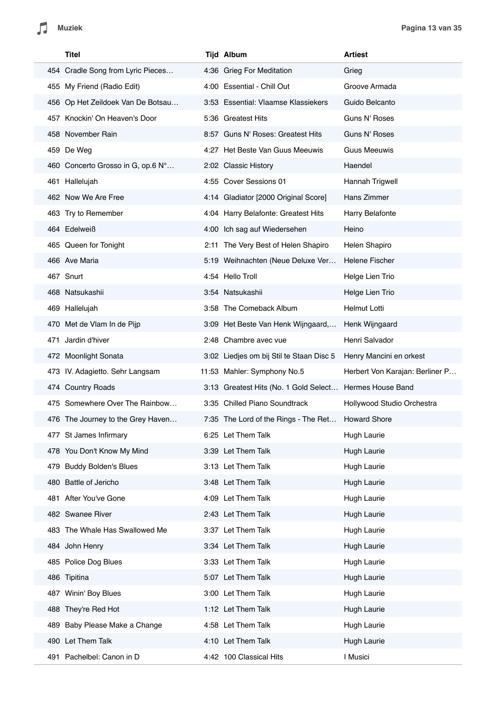| Titel                              | <b>Tijd Album</b>                        | <b>Artiest</b>                  |
|------------------------------------|------------------------------------------|---------------------------------|
| 454 Cradle Song from Lyric Pieces  | 4:36 Grieg For Meditation                | Grieg                           |
| 455 My Friend (Radio Edit)         | 4:00 Essential - Chill Out               | Groove Armada                   |
| 456 Op Het Zeildoek Van De Botsau  | 3:53 Essential: Vlaamse Klassiekers      | Guido Belcanto                  |
| 457 Knockin' On Heaven's Door      | 5:36 Greatest Hits                       | Guns N' Roses                   |
| 458 November Rain                  | 8:57 Guns N' Roses: Greatest Hits        | Guns N' Roses                   |
| 459 De Weg                         | 4:27 Het Beste Van Guus Meeuwis          | <b>Guus Meeuwis</b>             |
| 460 Concerto Grosso in G, op.6 N°  | 2:02 Classic History                     | Haendel                         |
| 461 Hallelujah                     | 4:55 Cover Sessions 01                   | Hannah Trigwell                 |
| 462 Now We Are Free                | 4:14 Gladiator [2000 Original Score]     | Hans Zimmer                     |
| 463 Try to Remember                | 4:04 Harry Belafonte: Greatest Hits      | Harry Belafonte                 |
| 464 Edelweiß                       | 4:00 Ich sag auf Wiedersehen             | Heino                           |
| 465 Queen for Tonight              | 2:11 The Very Best of Helen Shapiro      | Helen Shapiro                   |
| 466 Ave Maria                      | 5:19 Weihnachten (Neue Deluxe Ver        | Helene Fischer                  |
| 467 Snurt                          | 4:54 Hello Troll                         | Helge Lien Trio                 |
| 468 Natsukashii                    | 3:54 Natsukashii                         | Helge Lien Trio                 |
| 469 Hallelujah                     | 3:58 The Comeback Album                  | Helmut Lotti                    |
| 470 Met de Vlam In de Pijp         | 3:09 Het Beste Van Henk Wijngaard,       | Henk Wijngaard                  |
| 471 Jardin d'hiver                 | 2:48 Chambre avec vue                    | Henri Salvador                  |
| 472 Moonlight Sonata               | 3:02 Liedjes om bij Stil te Staan Disc 5 | Henry Mancini en orkest         |
| 473 IV. Adagietto. Sehr Langsam    | 11:53 Mahler: Symphony No.5              | Herbert Von Karajan: Berliner P |
| 474 Country Roads                  | 3:13 Greatest Hits (No. 1 Gold Select    | Hermes House Band               |
| 475 Somewhere Over The Rainbow     | 3:35 Chilled Piano Soundtrack            | Hollywood Studio Orchestra      |
| 476 The Journey to the Grey Haven  | 7:35 The Lord of the Rings - The Ret     | <b>Howard Shore</b>             |
| 477 St James Infirmary             | 6:25 Let Them Talk                       | <b>Hugh Laurie</b>              |
| 478 You Don't Know My Mind         | 3:39 Let Them Talk                       | Hugh Laurie                     |
| <b>Buddy Bolden's Blues</b><br>479 | 3:13 Let Them Talk                       | Hugh Laurie                     |
| 480 Battle of Jericho              | 3:48 Let Them Talk                       | Hugh Laurie                     |
| 481 After You've Gone              | 4:09 Let Them Talk                       | Hugh Laurie                     |
| 482 Swanee River                   | 2:43 Let Them Talk                       | Hugh Laurie                     |
| 483 The Whale Has Swallowed Me     | 3:37 Let Them Talk                       | Hugh Laurie                     |
| 484 John Henry                     | 3:34 Let Them Talk                       | Hugh Laurie                     |
| 485 Police Dog Blues               | 3:33 Let Them Talk                       | Hugh Laurie                     |
| 486 Tipitina                       | 5:07 Let Them Talk                       | Hugh Laurie                     |
| 487 Winin' Boy Blues               | 3:00 Let Them Talk                       | Hugh Laurie                     |
| 488 They're Red Hot                | 1:12 Let Them Talk                       | Hugh Laurie                     |
| 489 Baby Please Make a Change      | 4:58 Let Them Talk                       | Hugh Laurie                     |
| 490 Let Them Talk                  | 4:10 Let Them Talk                       | Hugh Laurie                     |
| 491 Pachelbel: Canon in D          | 4:42 100 Classical Hits                  | I Musici                        |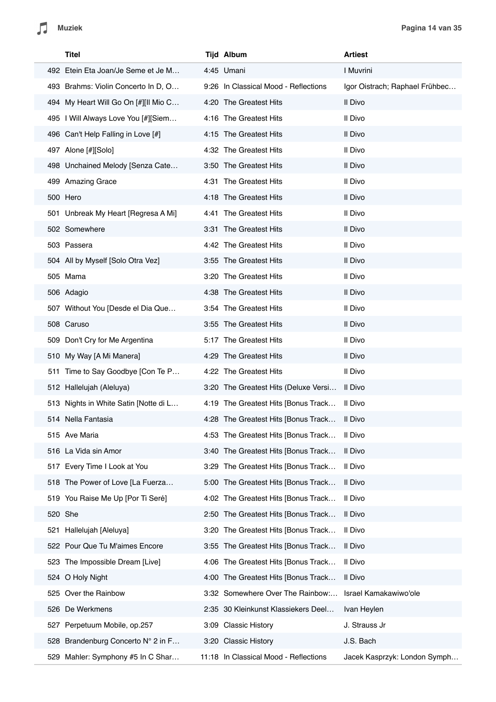| Titel                                 | Tijd Album                            | <b>Artiest</b>                 |
|---------------------------------------|---------------------------------------|--------------------------------|
| 492 Etein Eta Joan/Je Seme et Je M    | 4:45 Umani                            | I Muvrini                      |
| 493 Brahms: Violin Concerto In D, O   | 9:26 In Classical Mood - Reflections  | Igor Oistrach; Raphael Frühbec |
| 494 My Heart Will Go On [#][Il Mio C  | 4:20 The Greatest Hits                | Il Divo                        |
| 495   Will Always Love You [#][Siem   | 4:16 The Greatest Hits                | Il Divo                        |
| 496 Can't Help Falling in Love [#]    | 4:15 The Greatest Hits                | Il Divo                        |
| 497 Alone [#][Solo]                   | 4:32 The Greatest Hits                | Il Divo                        |
| 498 Unchained Melody [Senza Cate      | 3:50 The Greatest Hits                | Il Divo                        |
| 499 Amazing Grace                     | 4:31 The Greatest Hits                | Il Divo                        |
| 500 Hero                              | 4:18 The Greatest Hits                | Il Divo                        |
| 501 Unbreak My Heart [Regresa A Mi]   | 4:41 The Greatest Hits                | Il Divo                        |
| 502 Somewhere                         | 3:31 The Greatest Hits                | Il Divo                        |
| 503 Passera                           | 4:42 The Greatest Hits                | Il Divo                        |
| 504 All by Myself [Solo Otra Vez]     | 3:55 The Greatest Hits                | Il Divo                        |
| 505 Mama                              | 3:20 The Greatest Hits                | Il Divo                        |
| 506 Adagio                            | 4:38 The Greatest Hits                | Il Divo                        |
| 507 Without You [Desde el Dia Que     | 3:54 The Greatest Hits                | Il Divo                        |
| 508 Caruso                            | 3:55 The Greatest Hits                | Il Divo                        |
| 509 Don't Cry for Me Argentina        | 5:17 The Greatest Hits                | Il Divo                        |
| 510 My Way [A Mi Manera]              | 4:29 The Greatest Hits                | Il Divo                        |
| 511 Time to Say Goodbye [Con Te P     | 4:22 The Greatest Hits                | Il Divo                        |
| 512 Hallelujah (Aleluya)              | 3:20 The Greatest Hits (Deluxe Versi  | Il Divo                        |
| 513 Nights in White Satin [Notte di L | 4:19 The Greatest Hits [Bonus Track   | Il Divo                        |
| 514 Nella Fantasia                    | 4:28 The Greatest Hits [Bonus Track   | Il Divo                        |
| 515 Ave Maria                         | 4:53 The Greatest Hits [Bonus Track   | Il Divo                        |
| 516 La Vida sin Amor                  | 3:40 The Greatest Hits [Bonus Track   | Il Divo                        |
| Every Time I Look at You<br>517       | 3:29 The Greatest Hits [Bonus Track   | Il Divo                        |
| 518 The Power of Love [La Fuerza      | 5:00 The Greatest Hits [Bonus Track   | Il Divo                        |
| 519 You Raise Me Up [Por Ti Seré]     | 4:02 The Greatest Hits [Bonus Track   | Il Divo                        |
| 520 She                               | 2:50 The Greatest Hits [Bonus Track   | Il Divo                        |
| Hallelujah [Aleluya]<br>521           | 3:20 The Greatest Hits [Bonus Track   | Il Divo                        |
| 522 Pour Que Tu M'aimes Encore        | 3:55 The Greatest Hits [Bonus Track   | Il Divo                        |
| The Impossible Dream [Live]<br>523    | 4:06 The Greatest Hits [Bonus Track   | Il Divo                        |
| 524 O Holy Night                      | 4:00 The Greatest Hits [Bonus Track   | Il Divo                        |
| Over the Rainbow<br>525               | 3:32 Somewhere Over The Rainbow:      | Israel Kamakawiwo'ole          |
| De Werkmens<br>526                    | 2:35 30 Kleinkunst Klassiekers Deel   | Ivan Heylen                    |
| Perpetuum Mobile, op.257<br>527       | 3:09 Classic History                  | J. Strauss Jr                  |
| Brandenburg Concerto N° 2 in F<br>528 | 3:20 Classic History                  | J.S. Bach                      |
| Mahler: Symphony #5 In C Shar<br>529  | 11:18 In Classical Mood - Reflections | Jacek Kasprzyk: London Symph   |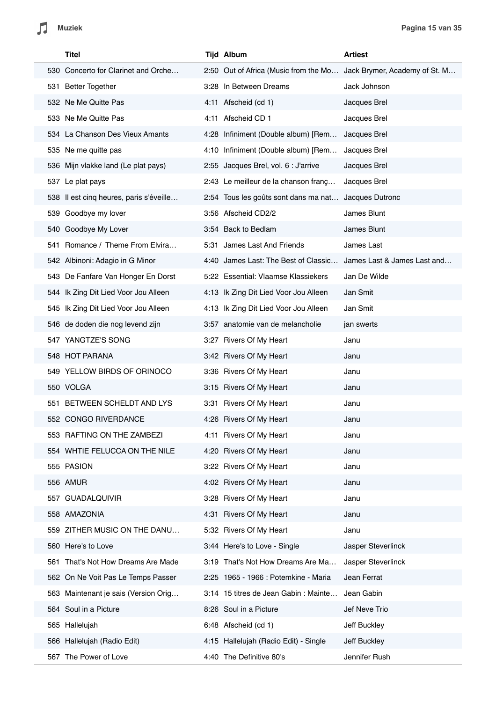$\sqrt{2}$ 

| Titel                       |                                         | <b>Tijd Album</b>                                                   | <b>Artiest</b>              |
|-----------------------------|-----------------------------------------|---------------------------------------------------------------------|-----------------------------|
|                             | 530 Concerto for Clarinet and Orche     | 2:50 Out of Africa (Music from the Mo Jack Brymer, Academy of St. M |                             |
| 531 Better Together         |                                         | 3:28 In Between Dreams                                              | Jack Johnson                |
| 532 Ne Me Quitte Pas        |                                         | 4:11 Afscheid (cd 1)                                                | Jacques Brel                |
| 533 Ne Me Quitte Pas        |                                         | 4:11 Afscheid CD 1                                                  | Jacques Brel                |
|                             | 534 La Chanson Des Vieux Amants         | 4:28 Infiniment (Double album) [Rem                                 | Jacques Brel                |
| 535 Ne me quitte pas        |                                         | 4:10 Infiniment (Double album) [Rem                                 | Jacques Brel                |
|                             | 536 Mijn vlakke land (Le plat pays)     | 2:55 Jacques Brel, vol. 6 : J'arrive                                | Jacques Brel                |
| 537 Le plat pays            |                                         | 2:43 Le meilleur de la chanson franç                                | Jacques Brel                |
|                             | 538 Il est cinq heures, paris s'éveille | 2:54 Tous les goûts sont dans ma nat                                | Jacques Dutronc             |
| 539 Goodbye my lover        |                                         | 3:56 Afscheid CD2/2                                                 | James Blunt                 |
| 540 Goodbye My Lover        |                                         | 3:54 Back to Bedlam                                                 | James Blunt                 |
|                             | 541 Romance / Theme From Elvira         | 5:31 James Last And Friends                                         | James Last                  |
|                             | 542 Albinoni: Adagio in G Minor         | 4:40 James Last: The Best of Classic                                | James Last & James Last and |
|                             | 543 De Fanfare Van Honger En Dorst      | 5:22 Essential: Vlaamse Klassiekers                                 | Jan De Wilde                |
|                             | 544 Ik Zing Dit Lied Voor Jou Alleen    | 4:13 Ik Zing Dit Lied Voor Jou Alleen                               | Jan Smit                    |
|                             | 545 Ik Zing Dit Lied Voor Jou Alleen    | 4:13 Ik Zing Dit Lied Voor Jou Alleen                               | Jan Smit                    |
|                             | 546 de doden die nog levend zijn        | 3:57 anatomie van de melancholie                                    | jan swerts                  |
| 547 YANGTZE'S SONG          |                                         | 3:27 Rivers Of My Heart                                             | Janu                        |
| 548 HOT PARANA              |                                         | 3:42 Rivers Of My Heart                                             | Janu                        |
|                             | 549 YELLOW BIRDS OF ORINOCO             | 3:36 Rivers Of My Heart                                             | Janu                        |
| 550 VOLGA                   |                                         | 3:15 Rivers Of My Heart                                             | Janu                        |
| 551                         | BETWEEN SCHELDT AND LYS                 | 3:31 Rivers Of My Heart                                             | Janu                        |
| 552 CONGO RIVERDANCE        |                                         | 4:26 Rivers Of My Heart                                             | Janu                        |
|                             | 553 RAFTING ON THE ZAMBEZI              | 4:11 Rivers Of My Heart                                             | Janu                        |
|                             | 554 WHTIE FELUCCA ON THE NILE           | 4:20 Rivers Of My Heart                                             | Janu                        |
| 555 PASION                  |                                         | 3:22 Rivers Of My Heart                                             | Janu                        |
| 556 AMUR                    |                                         | 4:02 Rivers Of My Heart                                             | Janu                        |
| GUADALQUIVIR<br>557         |                                         | 3:28 Rivers Of My Heart                                             | Janu                        |
| 558 AMAZONIA                |                                         | 4:31 Rivers Of My Heart                                             | Janu                        |
|                             | 559 ZITHER MUSIC ON THE DANU            | 5:32 Rivers Of My Heart                                             | Janu                        |
| 560 Here's to Love          |                                         | 3:44 Here's to Love - Single                                        | Jasper Steverlinck          |
| 561                         | That's Not How Dreams Are Made          | 3:19 That's Not How Dreams Are Ma                                   | Jasper Steverlinck          |
|                             | 562 On Ne Voit Pas Le Temps Passer      | 2:25 1965 - 1966 : Potemkine - Maria                                | Jean Ferrat                 |
|                             | 563 Maintenant je sais (Version Orig    | 3:14 15 titres de Jean Gabin : Mainte                               | Jean Gabin                  |
| 564 Soul in a Picture       |                                         | 8:26 Soul in a Picture                                              | Jef Neve Trio               |
| 565 Hallelujah              |                                         | 6:48 Afscheid (cd 1)                                                | Jeff Buckley                |
| 566 Hallelujah (Radio Edit) |                                         | 4:15 Hallelujah (Radio Edit) - Single                               | Jeff Buckley                |
| The Power of Love<br>567    |                                         | 4:40 The Definitive 80's                                            | Jennifer Rush               |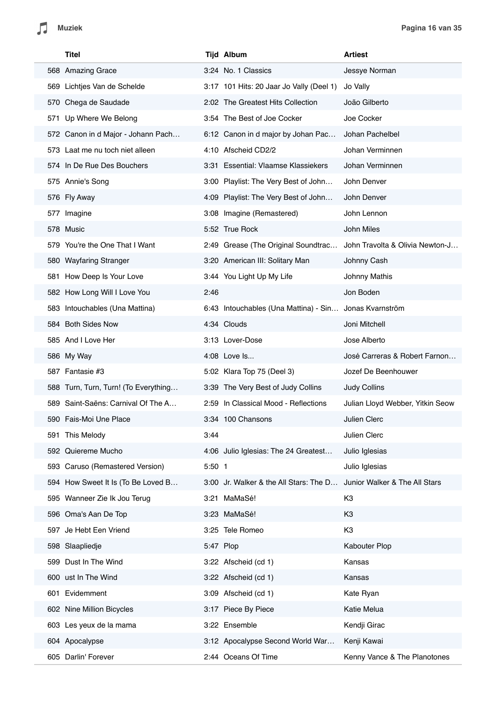| Titel                                |           | <b>Tijd Album</b>                                      | <b>Artiest</b>                   |
|--------------------------------------|-----------|--------------------------------------------------------|----------------------------------|
| 568 Amazing Grace                    |           | 3:24 No. 1 Classics                                    | Jessye Norman                    |
| 569 Lichtjes Van de Schelde          |           | 3:17 101 Hits: 20 Jaar Jo Vally (Deel 1)               | Jo Vally                         |
| 570 Chega de Saudade                 |           | 2:02 The Greatest Hits Collection                      | João Gilberto                    |
| 571 Up Where We Belong               |           | 3:54 The Best of Joe Cocker                            | Joe Cocker                       |
| 572 Canon in d Major - Johann Pach   |           | 6:12 Canon in d major by Johan Pac                     | Johan Pachelbel                  |
| 573 Laat me nu toch niet alleen      |           | 4:10 Afscheid CD2/2                                    | Johan Verminnen                  |
| 574 In De Rue Des Bouchers           |           | 3:31 Essential: Vlaamse Klassiekers                    | Johan Verminnen                  |
| 575 Annie's Song                     |           | 3:00 Playlist: The Very Best of John                   | John Denver                      |
| 576 Fly Away                         |           | 4:09 Playlist: The Very Best of John                   | John Denver                      |
| 577 Imagine                          |           | 3:08 Imagine (Remastered)                              | John Lennon                      |
| 578 Music                            |           | 5:52 True Rock                                         | John Miles                       |
| 579 You're the One That I Want       |           | 2:49 Grease (The Original Soundtrac                    | John Travolta & Olivia Newton-J  |
| 580 Wayfaring Stranger               |           | 3:20 American III: Solitary Man                        | Johnny Cash                      |
| 581 How Deep Is Your Love            |           | 3:44 You Light Up My Life                              | Johnny Mathis                    |
| 582 How Long Will I Love You         | 2:46      |                                                        | Jon Boden                        |
| 583 Intouchables (Una Mattina)       |           | 6:43 Intouchables (Una Mattina) - Sin Jonas Kvarnström |                                  |
| 584 Both Sides Now                   |           | 4:34 Clouds                                            | Joni Mitchell                    |
| 585 And I Love Her                   |           | 3:13 Lover-Dose                                        | Jose Alberto                     |
| 586 My Way                           |           | 4:08 Love Is                                           | José Carreras & Robert Farnon    |
| 587 Fantasie #3                      |           | 5:02 Klara Top 75 (Deel 3)                             | Jozef De Beenhouwer              |
| 588 Turn, Turn, Turn! (To Everything |           | 3:39 The Very Best of Judy Collins                     | Judy Collins                     |
| 589 Saint-Saëns: Carnival Of The A   |           | 2:59 In Classical Mood - Reflections                   | Julian Lloyd Webber, Yitkin Seow |
| 590 Fais-Moi Une Place               |           | 3:34 100 Chansons                                      | Julien Clerc                     |
| 591 This Melody                      | 3:44      |                                                        | Julien Clerc                     |
| 592 Quiereme Mucho                   |           | 4:06 Julio Iglesias: The 24 Greatest                   | Julio Iglesias                   |
| 593 Caruso (Remastered Version)      | $5:50$ 1  |                                                        | Julio Iglesias                   |
| 594 How Sweet It Is (To Be Loved B   |           | 3:00 Jr. Walker & the All Stars: The D                 | Junior Walker & The All Stars    |
| 595 Wanneer Zie Ik Jou Terug         |           | 3:21 MaMaSé!                                           | K <sub>3</sub>                   |
| 596 Oma's Aan De Top                 |           | 3:23 MaMaSé!                                           | K <sub>3</sub>                   |
| 597 Je Hebt Een Vriend               |           | 3:25 Tele Romeo                                        | K <sub>3</sub>                   |
| 598 Slaapliedje                      | 5:47 Plop |                                                        | Kabouter Plop                    |
| 599 Dust In The Wind                 |           | 3:22 Afscheid (cd 1)                                   | Kansas                           |
| 600 ust In The Wind                  |           | 3:22 Afscheid (cd 1)                                   | Kansas                           |
| 601 Evidemment                       |           | 3:09 Afscheid (cd 1)                                   | Kate Ryan                        |
| 602 Nine Million Bicycles            |           | 3:17 Piece By Piece                                    | Katie Melua                      |
| 603 Les yeux de la mama              |           | 3:22 Ensemble                                          | Kendji Girac                     |
| 604 Apocalypse                       |           | 3:12 Apocalypse Second World War                       | Kenji Kawai                      |
| 605 Darlin' Forever                  |           | 2:44 Oceans Of Time                                    | Kenny Vance & The Planotones     |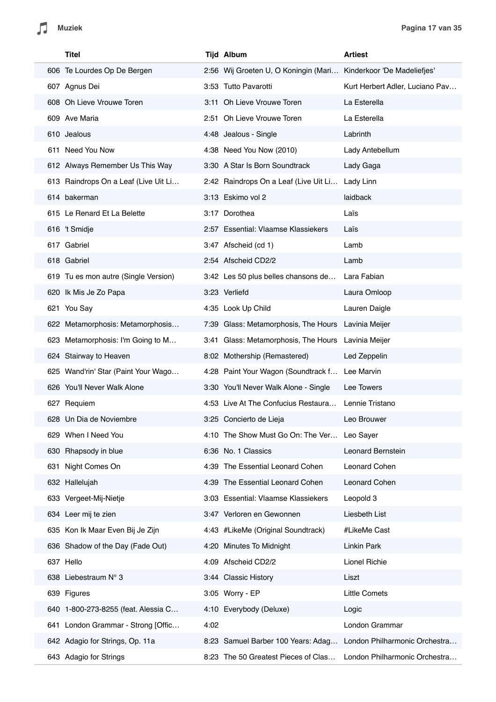$\sqrt{2}$ 

| Titel                                |      | <b>Tijd Album</b>                                                | Artiest                         |
|--------------------------------------|------|------------------------------------------------------------------|---------------------------------|
| 606 Te Lourdes Op De Bergen          |      | 2:56 Wij Groeten U, O Koningin (Mari Kinderkoor 'De Madeliefjes' |                                 |
| 607 Agnus Dei                        |      | 3:53 Tutto Pavarotti                                             | Kurt Herbert Adler, Luciano Pav |
| 608 Oh Lieve Vrouwe Toren            |      | 3:11 Oh Lieve Vrouwe Toren                                       | La Esterella                    |
| 609 Ave Maria                        |      | 2:51 Oh Lieve Vrouwe Toren                                       | La Esterella                    |
| 610 Jealous                          |      | 4:48 Jealous - Single                                            | Labrinth                        |
| 611 Need You Now                     |      | 4:38 Need You Now (2010)                                         | Lady Antebellum                 |
| 612 Always Remember Us This Way      |      | 3:30 A Star Is Born Soundtrack                                   | Lady Gaga                       |
| 613 Raindrops On a Leaf (Live Uit Li |      | 2:42 Raindrops On a Leaf (Live Uit Li                            | Lady Linn                       |
| 614 bakerman                         |      | 3:13 Eskimo vol 2                                                | laidback                        |
| 615 Le Renard Et La Belette          |      | 3:17 Dorothea                                                    | Laïs                            |
| 616 't Smidje                        |      | 2:57 Essential: Vlaamse Klassiekers                              | Laïs                            |
| 617 Gabriel                          |      | 3:47 Afscheid (cd 1)                                             | Lamb                            |
| 618 Gabriel                          |      | 2:54 Afscheid CD2/2                                              | Lamb                            |
| 619 Tu es mon autre (Single Version) |      | 3:42 Les 50 plus belles chansons de                              | Lara Fabian                     |
| 620 Ik Mis Je Zo Papa                |      | 3:23 Verliefd                                                    | Laura Omloop                    |
| 621 You Say                          |      | 4:35 Look Up Child                                               | Lauren Daigle                   |
| 622 Metamorphosis: Metamorphosis     |      | 7:39 Glass: Metamorphosis, The Hours Lavinia Meijer              |                                 |
| 623 Metamorphosis: I'm Going to M    |      | 3:41 Glass: Metamorphosis, The Hours Lavinia Meijer              |                                 |
| 624 Stairway to Heaven               |      | 8:02 Mothership (Remastered)                                     | Led Zeppelin                    |
| 625 Wand'rin' Star (Paint Your Wago  |      | 4:28 Paint Your Wagon (Soundtrack f Lee Marvin                   |                                 |
| 626 You'll Never Walk Alone          |      | 3:30 You'll Never Walk Alone - Single                            | Lee Towers                      |
| 627 Requiem                          |      | 4:53 Live At The Confucius Restaura                              | Lennie Tristano                 |
| 628 Un Dia de Noviembre              |      | 3:25 Concierto de Lieja                                          | Leo Brouwer                     |
| 629 When I Need You                  |      | 4:10 The Show Must Go On: The Ver Leo Sayer                      |                                 |
| 630 Rhapsody in blue                 |      | 6:36 No. 1 Classics                                              | Leonard Bernstein               |
| 631 Night Comes On                   |      | 4:39 The Essential Leonard Cohen                                 | Leonard Cohen                   |
| 632 Hallelujah                       |      | 4:39 The Essential Leonard Cohen                                 | Leonard Cohen                   |
| 633 Vergeet-Mij-Nietje               |      | 3:03 Essential: Vlaamse Klassiekers                              | Leopold 3                       |
| 634 Leer mij te zien                 |      | 3:47 Verloren en Gewonnen                                        | Liesbeth List                   |
| 635 Kon Ik Maar Even Bij Je Zijn     |      | 4:43 #LikeMe (Original Soundtrack)                               | #LikeMe Cast                    |
| 636 Shadow of the Day (Fade Out)     |      | 4:20 Minutes To Midnight                                         | Linkin Park                     |
| 637 Hello                            |      | 4:09 Afscheid CD2/2                                              | Lionel Richie                   |
| 638 Liebestraum N° 3                 |      | 3:44 Classic History                                             | Liszt                           |
| 639 Figures                          |      | 3:05 Worry - EP                                                  | Little Comets                   |
| 640 1-800-273-8255 (feat. Alessia C  |      | 4:10 Everybody (Deluxe)                                          | Logic                           |
| 641 London Grammar - Strong [Offic   | 4:02 |                                                                  | London Grammar                  |
| 642 Adagio for Strings, Op. 11a      |      | 8:23 Samuel Barber 100 Years: Adag                               | London Philharmonic Orchestra   |
| 643 Adagio for Strings               |      | 8:23 The 50 Greatest Pieces of Clas                              | London Philharmonic Orchestra   |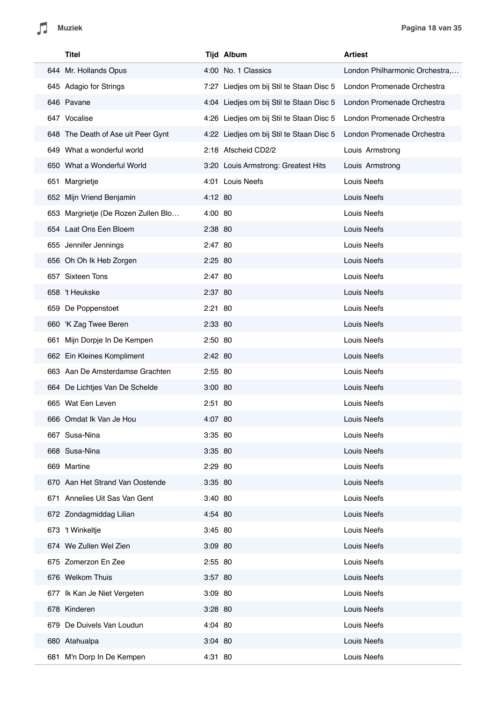| Titel                               |           | <b>Tijd Album</b>                        | <b>Artiest</b>                 |
|-------------------------------------|-----------|------------------------------------------|--------------------------------|
| 644 Mr. Hollands Opus               |           | 4:00 No. 1 Classics                      | London Philharmonic Orchestra, |
| 645 Adagio for Strings              |           | 7:27 Liedjes om bij Stil te Staan Disc 5 | London Promenade Orchestra     |
| 646 Pavane                          |           | 4:04 Liedjes om bij Stil te Staan Disc 5 | London Promenade Orchestra     |
| 647 Vocalise                        |           | 4:26 Liedjes om bij Stil te Staan Disc 5 | London Promenade Orchestra     |
| 648 The Death of Ase uit Peer Gynt  |           | 4:22 Liedjes om bij Stil te Staan Disc 5 | London Promenade Orchestra     |
| 649 What a wonderful world          |           | 2:18 Afscheid CD2/2                      | Louis Armstrong                |
| 650 What a Wonderful World          |           | 3:20 Louis Armstrong: Greatest Hits      | Louis Armstrong                |
| 651 Margrietje                      |           | 4:01 Louis Neefs                         | Louis Neefs                    |
| 652 Mijn Vriend Benjamin            | 4:12 80   |                                          | Louis Neefs                    |
| 653 Margrietje (De Rozen Zullen Blo | 4:00 80   |                                          | Louis Neefs                    |
| 654 Laat Ons Een Bloem              | 2:38 80   |                                          | Louis Neefs                    |
| 655 Jennifer Jennings               | 2:47 80   |                                          | Louis Neefs                    |
| 656 Oh Oh Ik Heb Zorgen             | 2:25 80   |                                          | Louis Neefs                    |
| 657 Sixteen Tons                    | 2:47 80   |                                          | Louis Neefs                    |
| 658 't Heukske                      | 2:37 80   |                                          | Louis Neefs                    |
| 659 De Poppenstoet                  | 2:21 80   |                                          | Louis Neefs                    |
| 660 K Zag Twee Beren                | 2:33 80   |                                          | Louis Neefs                    |
| 661 Mijn Dorpje In De Kempen        | 2:50 80   |                                          | Louis Neefs                    |
| 662 Ein Kleines Kompliment          | 2:42 80   |                                          | Louis Neefs                    |
| 663 Aan De Amsterdamse Grachten     | 2:55 80   |                                          | Louis Neefs                    |
| 664 De Lichtjes Van De Schelde      | $3:00$ 80 |                                          | Louis Neefs                    |
| 665 Wat Een Leven                   | 2:51 80   |                                          | Louis Neefs                    |
| 666 Omdat Ik Van Je Hou             | 4:07 80   |                                          | Louis Neefs                    |
| 667 Susa-Nina                       | 3:35 80   |                                          | Louis Neefs                    |
| 668 Susa-Nina                       | 3:35 80   |                                          | Louis Neefs                    |
| 669 Martine                         | 2:29 80   |                                          | Louis Neefs                    |
| 670 Aan Het Strand Van Oostende     | 3:35 80   |                                          | Louis Neefs                    |
| 671 Annelies Uit Sas Van Gent       | 3:40 80   |                                          | Louis Neefs                    |
| 672 Zondagmiddag Lilian             | 4:54 80   |                                          | Louis Neefs                    |
| 673 't Winkeltje                    | 3:45 80   |                                          | Louis Neefs                    |
| 674 We Zullen Wel Zien              | 3:09 80   |                                          | Louis Neefs                    |
| 675 Zomerzon En Zee                 | 2:55 80   |                                          | Louis Neefs                    |
| 676 Welkom Thuis                    | 3:57 80   |                                          | Louis Neefs                    |
| 677 Ik Kan Je Niet Vergeten         | 3:09 80   |                                          | Louis Neefs                    |
| 678 Kinderen                        | 3:28 80   |                                          | Louis Neefs                    |
| 679 De Duivels Van Loudun           | 4:04 80   |                                          | Louis Neefs                    |
| 680 Atahualpa                       | $3:04$ 80 |                                          | Louis Neefs                    |
| 681 M'n Dorp In De Kempen           | 4:31 80   |                                          | Louis Neefs                    |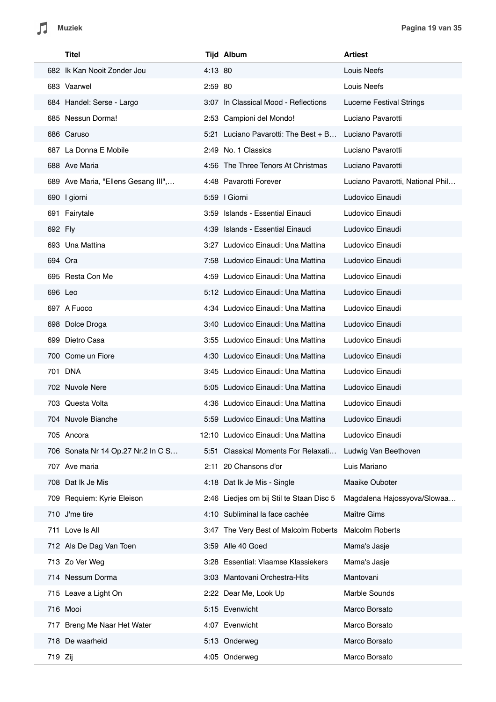| Titel                               |         | <b>Tijd Album</b>                        | <b>Artiest</b>                   |
|-------------------------------------|---------|------------------------------------------|----------------------------------|
| 682 Ik Kan Nooit Zonder Jou         | 4:13 80 |                                          | Louis Neefs                      |
| 683 Vaarwel                         | 2:59 80 |                                          | Louis Neefs                      |
| 684 Handel: Serse - Largo           |         | 3:07 In Classical Mood - Reflections     | <b>Lucerne Festival Strings</b>  |
| 685 Nessun Dorma!                   |         | 2:53 Campioni del Mondo!                 | Luciano Pavarotti                |
| 686 Caruso                          |         | 5:21 Luciano Pavarotti: The Best + B     | Luciano Pavarotti                |
| 687 La Donna E Mobile               |         | 2:49 No. 1 Classics                      | Luciano Pavarotti                |
| 688 Ave Maria                       |         | 4:56 The Three Tenors At Christmas       | Luciano Pavarotti                |
| 689 Ave Maria, "Ellens Gesang III", |         | 4:48 Pavarotti Forever                   | Luciano Pavarotti, National Phil |
| 690 I giorni                        |         | 5:59   Giorni                            | Ludovico Einaudi                 |
| 691 Fairytale                       |         | 3:59 Islands - Essential Einaudi         | Ludovico Einaudi                 |
| 692 Fly                             |         | 4:39 Islands - Essential Einaudi         | Ludovico Einaudi                 |
| 693 Una Mattina                     |         | 3:27 Ludovico Einaudi: Una Mattina       | Ludovico Einaudi                 |
| 694 Ora                             |         | 7:58 Ludovico Einaudi: Una Mattina       | Ludovico Einaudi                 |
| 695 Resta Con Me                    |         | 4:59 Ludovico Einaudi: Una Mattina       | Ludovico Einaudi                 |
| 696 Leo                             |         | 5:12 Ludovico Einaudi: Una Mattina       | Ludovico Einaudi                 |
| 697 A Fuoco                         |         | 4:34 Ludovico Einaudi: Una Mattina       | Ludovico Einaudi                 |
| 698 Dolce Droga                     |         | 3:40 Ludovico Einaudi: Una Mattina       | Ludovico Einaudi                 |
| 699 Dietro Casa                     |         | 3:55 Ludovico Einaudi: Una Mattina       | Ludovico Einaudi                 |
| 700 Come un Fiore                   |         | 4:30 Ludovico Einaudi: Una Mattina       | Ludovico Einaudi                 |
| 701 DNA                             |         | 3:45 Ludovico Einaudi: Una Mattina       | Ludovico Einaudi                 |
| 702 Nuvole Nere                     |         | 5:05 Ludovico Einaudi: Una Mattina       | Ludovico Einaudi                 |
| 703 Questa Volta                    |         | 4:36 Ludovico Einaudi: Una Mattina       | Ludovico Einaudi                 |
| 704 Nuvole Bianche                  |         | 5:59 Ludovico Einaudi: Una Mattina       | Ludovico Einaudi                 |
| 705 Ancora                          |         | 12:10 Ludovico Einaudi: Una Mattina      | Ludovico Einaudi                 |
| 706 Sonata Nr 14 Op.27 Nr.2 In C S  |         | 5:51 Classical Moments For Relaxati      | Ludwig Van Beethoven             |
| 707 Ave maria                       |         | 2:11 20 Chansons d'or                    | Luis Mariano                     |
| 708 Dat Ik Je Mis                   |         | 4:18 Dat Ik Je Mis - Single              | Maaike Ouboter                   |
| 709 Requiem: Kyrie Eleison          |         | 2:46 Liedjes om bij Stil te Staan Disc 5 | Magdalena Hajossyova/Slowaa      |
| 710 J'me tire                       |         | 4:10 Subliminal la face cachée           | Maître Gims                      |
| 711 Love Is All                     |         | 3:47 The Very Best of Malcolm Roberts    | <b>Malcolm Roberts</b>           |
| 712 Als De Dag Van Toen             |         | 3:59 Alle 40 Goed                        | Mama's Jasje                     |
| 713 Zo Ver Weg                      |         | 3:28 Essential: Vlaamse Klassiekers      | Mama's Jasje                     |
| 714 Nessum Dorma                    |         | 3:03 Mantovani Orchestra-Hits            | Mantovani                        |
| 715 Leave a Light On                |         | 2:22 Dear Me, Look Up                    | Marble Sounds                    |
| 716 Mooi                            |         | 5:15 Evenwicht                           | Marco Borsato                    |
| 717 Breng Me Naar Het Water         |         | 4:07 Evenwicht                           | Marco Borsato                    |
| 718 De waarheid                     |         | 5:13 Onderweg                            | Marco Borsato                    |
| 719 Zij                             |         | 4:05 Onderweg                            | Marco Borsato                    |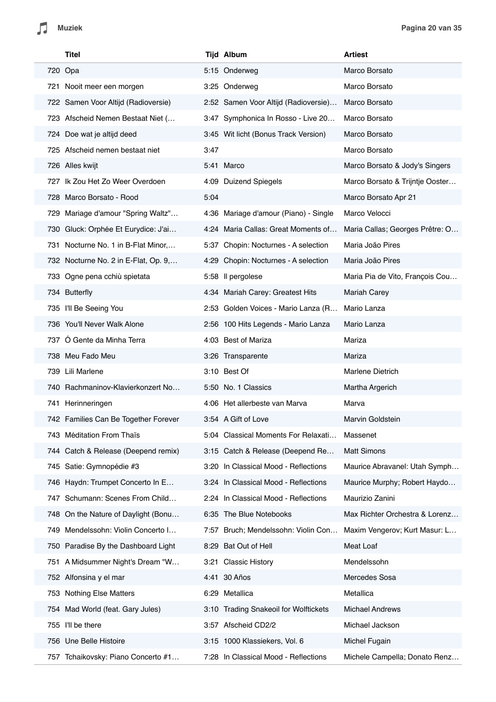$\sqrt{2}$ 

| Titel                                 |      | <b>Tijd Album</b>                     | <b>Artiest</b>                  |
|---------------------------------------|------|---------------------------------------|---------------------------------|
| 720 Opa                               |      | 5:15 Onderweg                         | Marco Borsato                   |
| 721 Nooit meer een morgen             |      | 3:25 Onderweg                         | Marco Borsato                   |
| 722 Samen Voor Altijd (Radioversie)   |      | 2:52 Samen Voor Altijd (Radioversie)  | Marco Borsato                   |
| 723 Afscheid Nemen Bestaat Niet (     |      | 3:47 Symphonica In Rosso - Live 20    | Marco Borsato                   |
| 724 Doe wat je altijd deed            |      | 3:45 Wit licht (Bonus Track Version)  | Marco Borsato                   |
| 725 Afscheid nemen bestaat niet       | 3:47 |                                       | Marco Borsato                   |
| 726 Alles kwijt                       |      | 5:41 Marco                            | Marco Borsato & Jody's Singers  |
| 727 Ik Zou Het Zo Weer Overdoen       |      | 4:09 Duizend Spiegels                 | Marco Borsato & Trijntje Ooster |
| 728 Marco Borsato - Rood              | 5:04 |                                       | Marco Borsato Apr 21            |
| 729 Mariage d'amour "Spring Waltz"    |      | 4:36 Mariage d'amour (Piano) - Single | Marco Velocci                   |
| 730 Gluck: Orphée Et Eurydice: J'ai   |      | 4:24 Maria Callas: Great Moments of   | Maria Callas; Georges Prêtre: O |
| 731 Nocturne No. 1 in B-Flat Minor,   |      | 5:37 Chopin: Nocturnes - A selection  | Maria João Pires                |
| 732 Nocturne No. 2 in E-Flat, Op. 9,  |      | 4:29 Chopin: Nocturnes - A selection  | Maria João Pires                |
| 733 Ogne pena cchiù spietata          |      | 5:58 Il pergolese                     | Maria Pia de Vito, François Cou |
| 734 Butterfly                         |      | 4:34 Mariah Carey: Greatest Hits      | <b>Mariah Carey</b>             |
| 735 I'll Be Seeing You                |      | 2:53 Golden Voices - Mario Lanza (R   | Mario Lanza                     |
| 736 You'll Never Walk Alone           |      | 2:56 100 Hits Legends - Mario Lanza   | Mario Lanza                     |
| 737 Ó Gente da Minha Terra            |      | 4:03 Best of Mariza                   | Mariza                          |
| 738 Meu Fado Meu                      |      | 3:26 Transparente                     | Mariza                          |
| 739 Lili Marlene                      |      | 3:10 Best Of                          | <b>Marlene Dietrich</b>         |
| 740 Rachmaninov-Klavierkonzert No     |      | 5:50 No. 1 Classics                   | Martha Argerich                 |
| 741 Herinneringen                     |      | 4:06 Het allerbeste van Marva         | Marva                           |
| 742 Families Can Be Together Forever  |      | 3:54 A Gift of Love                   | Marvin Goldstein                |
| 743 Méditation From Thaïs             |      | 5:04 Classical Moments For Relaxati   | Massenet                        |
| 744 Catch & Release (Deepend remix)   |      | 3:15 Catch & Release (Deepend Re      | <b>Matt Simons</b>              |
| 745 Satie: Gymnopédie #3              |      | 3:20 In Classical Mood - Reflections  | Maurice Abravanel: Utah Symph   |
| 746 Haydn: Trumpet Concerto In E      |      | 3:24 In Classical Mood - Reflections  | Maurice Murphy; Robert Haydo    |
| Schumann: Scenes From Child<br>747    |      | 2:24 In Classical Mood - Reflections  | Maurizio Zanini                 |
| 748 On the Nature of Daylight (Bonu   |      | 6:35 The Blue Notebooks               | Max Richter Orchestra & Lorenz  |
| 749 Mendelssohn: Violin Concerto I    |      | 7:57 Bruch; Mendelssohn: Violin Con   | Maxim Vengerov; Kurt Masur: L   |
| 750 Paradise By the Dashboard Light   |      | 8:29 Bat Out of Hell                  | Meat Loaf                       |
| 751 A Midsummer Night's Dream "W      | 3:21 | <b>Classic History</b>                | Mendelssohn                     |
| 752 Alfonsina y el mar                |      | 4:41 30 Años                          | Mercedes Sosa                   |
| 753 Nothing Else Matters              |      | 6:29 Metallica                        | Metallica                       |
| 754 Mad World (feat. Gary Jules)      |      | 3:10 Trading Snakeoil for Wolftickets | <b>Michael Andrews</b>          |
| 755 I'll be there                     |      | 3:57 Afscheid CD2/2                   | Michael Jackson                 |
| 756 Une Belle Histoire                |      | 3:15 1000 Klassiekers, Vol. 6         | Michel Fugain                   |
| Tchaikovsky: Piano Concerto #1<br>757 |      | 7:28 In Classical Mood - Reflections  | Michele Campella; Donato Renz   |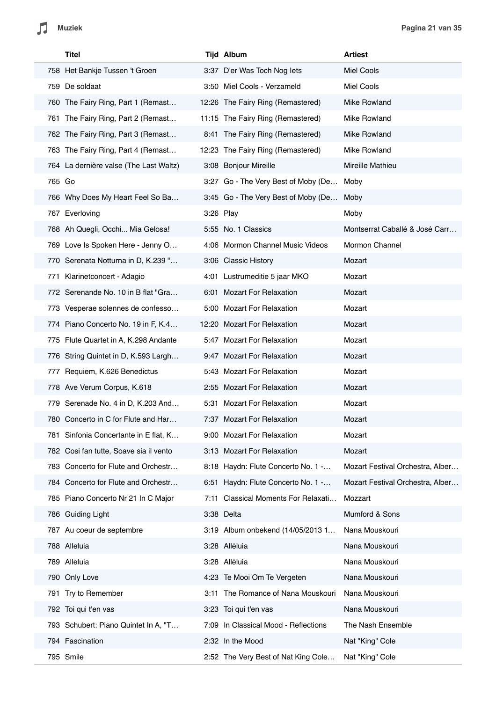| Titel                                  |      | <b>Tijd Album</b>                    | <b>Artiest</b>                   |
|----------------------------------------|------|--------------------------------------|----------------------------------|
| 758 Het Bankje Tussen 't Groen         |      | 3:37 D'er Was Toch Nog lets          | Miel Cools                       |
| 759 De soldaat                         |      | 3:50 Miel Cools - Verzameld          | Miel Cools                       |
| 760 The Fairy Ring, Part 1 (Remast     |      | 12:26 The Fairy Ring (Remastered)    | Mike Rowland                     |
| 761 The Fairy Ring, Part 2 (Remast     |      | 11:15 The Fairy Ring (Remastered)    | Mike Rowland                     |
| 762 The Fairy Ring, Part 3 (Remast     |      | 8:41 The Fairy Ring (Remastered)     | Mike Rowland                     |
| 763 The Fairy Ring, Part 4 (Remast     |      | 12:23 The Fairy Ring (Remastered)    | Mike Rowland                     |
| 764 La dernière valse (The Last Waltz) |      | 3:08 Bonjour Mireille                | Mireille Mathieu                 |
| 765 Go                                 |      | 3:27 Go - The Very Best of Moby (De  | Moby                             |
| 766 Why Does My Heart Feel So Ba       |      | 3:45 Go - The Very Best of Moby (De  | Moby                             |
| 767 Everloving                         |      | 3:26 Play                            | Moby                             |
| 768 Ah Quegli, Occhi Mia Gelosa!       |      | 5:55 No. 1 Classics                  | Montserrat Caballé & José Carr   |
| 769 Love Is Spoken Here - Jenny O      |      | 4:06 Mormon Channel Music Videos     | Mormon Channel                   |
| 770 Serenata Notturna in D, K.239 "    |      | 3:06 Classic History                 | Mozart                           |
| Klarinetconcert - Adagio<br>771        |      | 4:01 Lustrumeditie 5 jaar MKO        | Mozart                           |
| 772 Serenande No. 10 in B flat "Gra    |      | 6:01 Mozart For Relaxation           | Mozart                           |
| 773 Vesperae solennes de confesso      |      | 5:00 Mozart For Relaxation           | Mozart                           |
| 774 Piano Concerto No. 19 in F, K.4    |      | 12:20 Mozart For Relaxation          | Mozart                           |
| 775 Flute Quartet in A, K.298 Andante  |      | 5:47 Mozart For Relaxation           | Mozart                           |
| 776 String Quintet in D, K.593 Largh   |      | 9:47 Mozart For Relaxation           | Mozart                           |
| 777 Requiem, K.626 Benedictus          |      | 5:43 Mozart For Relaxation           | Mozart                           |
| 778 Ave Verum Corpus, K.618            |      | 2:55 Mozart For Relaxation           | Mozart                           |
| 779 Serenade No. 4 in D, K.203 And     |      | 5:31 Mozart For Relaxation           | Mozart                           |
| 780 Concerto in C for Flute and Har    |      | 7:37 Mozart For Relaxation           | Mozart                           |
| 781 Sinfonia Concertante in E flat, K  |      | 9:00 Mozart For Relaxation           | Mozart                           |
| 782 Cosi fan tutte, Soave sia il vento |      | 3:13 Mozart For Relaxation           | Mozart                           |
| 783 Concerto for Flute and Orchestr    |      | 8:18 Haydn: Flute Concerto No. 1 -   | Mozart Festival Orchestra, Alber |
| 784 Concerto for Flute and Orchestr    |      | 6:51 Haydn: Flute Concerto No. 1 -   | Mozart Festival Orchestra, Alber |
| 785 Piano Concerto Nr 21 In C Major    | 7:11 | Classical Moments For Relaxati       | Mozzart                          |
| 786 Guiding Light                      |      | 3:38 Delta                           | Mumford & Sons                   |
| 787 Au coeur de septembre              |      | 3:19 Album onbekend (14/05/2013 1    | Nana Mouskouri                   |
| 788 Alleluia                           |      | 3:28 Alléluia                        | Nana Mouskouri                   |
| 789 Alleluia                           |      | 3:28 Alléluia                        | Nana Mouskouri                   |
| 790 Only Love                          |      | 4:23 Te Mooi Om Te Vergeten          | Nana Mouskouri                   |
| Try to Remember<br>791                 | 3:11 | The Romance of Nana Mouskouri        | Nana Mouskouri                   |
| 792 Toi qui t'en vas                   |      | 3:23 Toi qui t'en vas                | Nana Mouskouri                   |
| 793 Schubert: Piano Quintet In A, "T   |      | 7:09 In Classical Mood - Reflections | The Nash Ensemble                |
| 794 Fascination                        |      | 2:32 In the Mood                     | Nat "King" Cole                  |
| 795 Smile                              |      | 2:52 The Very Best of Nat King Cole  | Nat "King" Cole                  |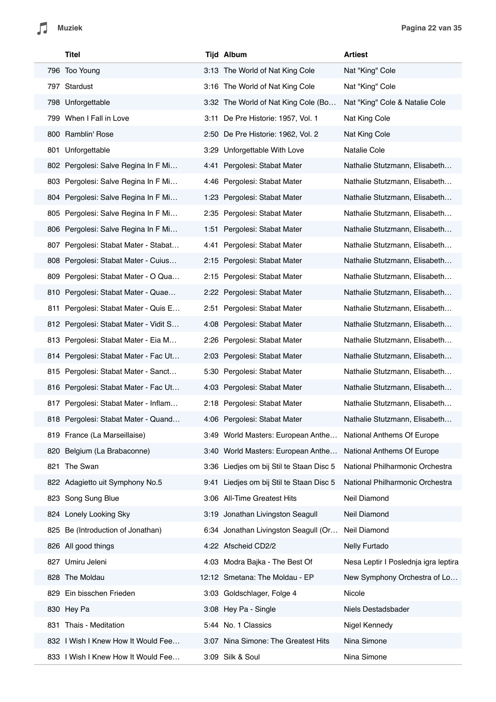|     | Titel                                 | <b>Tijd Album</b>                        | Artiest                              |
|-----|---------------------------------------|------------------------------------------|--------------------------------------|
|     | 796 Too Young                         | 3:13 The World of Nat King Cole          | Nat "King" Cole                      |
|     | 797 Stardust                          | 3:16 The World of Nat King Cole          | Nat "King" Cole                      |
|     | 798 Unforgettable                     | 3:32 The World of Nat King Cole (Bo      | Nat "King" Cole & Natalie Cole       |
|     | 799 When I Fall in Love               | 3:11 De Pre Historie: 1957, Vol. 1       | Nat King Cole                        |
|     | 800 Ramblin' Rose                     | 2:50 De Pre Historie: 1962, Vol. 2       | Nat King Cole                        |
|     | 801 Unforgettable                     | 3:29 Unforgettable With Love             | <b>Natalie Cole</b>                  |
|     | 802 Pergolesi: Salve Regina In F Mi   | 4:41 Pergolesi: Stabat Mater             | Nathalie Stutzmann, Elisabeth        |
|     | 803 Pergolesi: Salve Regina In F Mi   | 4:46 Pergolesi: Stabat Mater             | Nathalie Stutzmann, Elisabeth        |
|     | 804 Pergolesi: Salve Regina In F Mi   | 1:23 Pergolesi: Stabat Mater             | Nathalie Stutzmann, Elisabeth        |
|     | 805 Pergolesi: Salve Regina In F Mi   | 2:35 Pergolesi: Stabat Mater             | Nathalie Stutzmann, Elisabeth        |
|     | 806 Pergolesi: Salve Regina In F Mi   | 1:51 Pergolesi: Stabat Mater             | Nathalie Stutzmann, Elisabeth        |
|     | 807 Pergolesi: Stabat Mater - Stabat  | 4:41 Pergolesi: Stabat Mater             | Nathalie Stutzmann, Elisabeth        |
|     | 808 Pergolesi: Stabat Mater - Cuius   | 2:15 Pergolesi: Stabat Mater             | Nathalie Stutzmann, Elisabeth        |
| 809 | Pergolesi: Stabat Mater - O Qua       | 2:15 Pergolesi: Stabat Mater             | Nathalie Stutzmann, Elisabeth        |
|     | 810 Pergolesi: Stabat Mater - Quae    | 2:22 Pergolesi: Stabat Mater             | Nathalie Stutzmann, Elisabeth        |
|     | 811 Pergolesi: Stabat Mater - Quis E  | 2:51 Pergolesi: Stabat Mater             | Nathalie Stutzmann, Elisabeth        |
|     | 812 Pergolesi: Stabat Mater - Vidit S | 4:08 Pergolesi: Stabat Mater             | Nathalie Stutzmann, Elisabeth        |
|     | 813 Pergolesi: Stabat Mater - Eia M   | 2:26 Pergolesi: Stabat Mater             | Nathalie Stutzmann, Elisabeth        |
|     | 814 Pergolesi: Stabat Mater - Fac Ut  | 2:03 Pergolesi: Stabat Mater             | Nathalie Stutzmann, Elisabeth        |
| 815 | Pergolesi: Stabat Mater - Sanct       | 5:30 Pergolesi: Stabat Mater             | Nathalie Stutzmann, Elisabeth        |
|     | 816 Pergolesi: Stabat Mater - Fac Ut  | 4:03 Pergolesi: Stabat Mater             | Nathalie Stutzmann, Elisabeth        |
|     | 817 Pergolesi: Stabat Mater - Inflam  | 2:18 Pergolesi: Stabat Mater             | Nathalie Stutzmann, Elisabeth        |
|     | 818 Pergolesi: Stabat Mater - Quand   | 4:06 Pergolesi: Stabat Mater             | Nathalie Stutzmann, Elisabeth        |
|     | 819 France (La Marseillaise)          | 3:49 World Masters: European Anthe       | National Anthems Of Europe           |
|     | 820 Belgium (La Brabaconne)           | 3:40 World Masters: European Anthe       | National Anthems Of Europe           |
| 821 | The Swan                              | 3:36 Liedjes om bij Stil te Staan Disc 5 | National Philharmonic Orchestra      |
|     | 822 Adagietto uit Symphony No.5       | 9:41 Liedjes om bij Stil te Staan Disc 5 | National Philharmonic Orchestra      |
|     | 823 Song Sung Blue                    | 3:06 All-Time Greatest Hits              | Neil Diamond                         |
|     | 824 Lonely Looking Sky                | 3:19 Jonathan Livingston Seagull         | Neil Diamond                         |
|     | 825 Be (Introduction of Jonathan)     | 6:34 Jonathan Livingston Seagull (Or     | Neil Diamond                         |
|     | 826 All good things                   | 4:22 Afscheid CD2/2                      | Nelly Furtado                        |
|     | 827 Umiru Jeleni                      | 4:03 Modra Bajka - The Best Of           | Nesa Leptir I Poslednja igra leptira |
|     | 828 The Moldau                        | 12:12 Smetana: The Moldau - EP           | New Symphony Orchestra of Lo         |
|     | 829 Ein bisschen Frieden              | 3:03 Goldschlager, Folge 4               | Nicole                               |
|     | 830 Hey Pa                            | 3:08 Hey Pa - Single                     | Niels Destadsbader                   |
|     | 831 Thais - Meditation                | 5:44 No. 1 Classics                      | Nigel Kennedy                        |
|     | 832 I Wish I Knew How It Would Fee    | 3:07 Nina Simone: The Greatest Hits      | Nina Simone                          |
|     | 833 I Wish I Knew How It Would Fee    | 3:09 Silk & Soul                         | Nina Simone                          |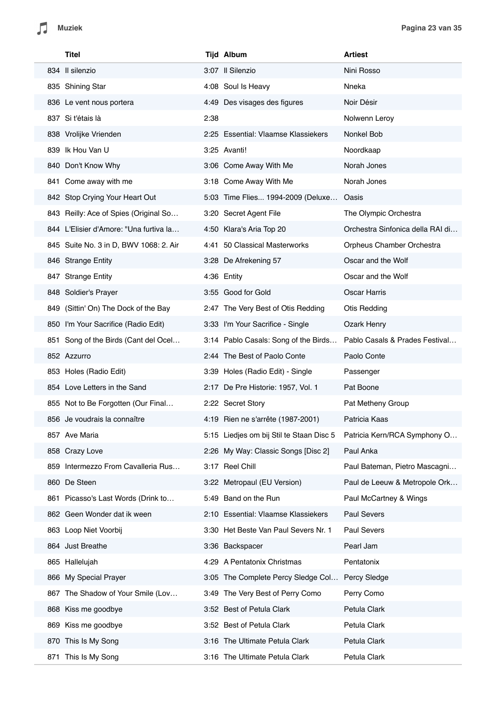|      | Titel                                  |      | <b>Tijd Album</b>                        | <b>Artiest</b>                   |
|------|----------------------------------------|------|------------------------------------------|----------------------------------|
|      | 834 Il silenzio                        |      | 3:07 Il Silenzio                         | Nini Rosso                       |
|      | 835 Shining Star                       |      | 4:08 Soul Is Heavy                       | Nneka                            |
|      | 836 Le vent nous portera               |      | 4:49 Des visages des figures             | Noir Désir                       |
|      | 837 Si t'étais là                      | 2:38 |                                          | Nolwenn Leroy                    |
|      | 838 Vrolijke Vrienden                  |      | 2:25 Essential: Vlaamse Klassiekers      | Nonkel Bob                       |
|      | 839 Ik Hou Van U                       |      | 3:25 Avanti!                             | Noordkaap                        |
|      | 840 Don't Know Why                     |      | 3:06 Come Away With Me                   | Norah Jones                      |
|      | 841 Come away with me                  |      | 3:18 Come Away With Me                   | Norah Jones                      |
|      | 842 Stop Crying Your Heart Out         |      | 5:03 Time Flies 1994-2009 (Deluxe        | Oasis                            |
|      | 843 Reilly: Ace of Spies (Original So  |      | 3:20 Secret Agent File                   | The Olympic Orchestra            |
|      | 844 L'Elisier d'Amore: "Una furtiva la |      | 4:50 Klara's Aria Top 20                 | Orchestra Sinfonica della RAI di |
|      | 845 Suite No. 3 in D, BWV 1068: 2. Air |      | 4:41 50 Classical Masterworks            | Orpheus Chamber Orchestra        |
|      | 846 Strange Entity                     |      | 3:28 De Afrekening 57                    | Oscar and the Wolf               |
|      | 847 Strange Entity                     |      | 4:36 Entity                              | Oscar and the Wolf               |
|      | 848 Soldier's Prayer                   |      | 3:55 Good for Gold                       | <b>Oscar Harris</b>              |
|      | 849 (Sittin' On) The Dock of the Bay   |      | 2:47 The Very Best of Otis Redding       | <b>Otis Redding</b>              |
|      | 850 I'm Your Sacrifice (Radio Edit)    |      | 3:33 I'm Your Sacrifice - Single         | Ozark Henry                      |
|      | 851 Song of the Birds (Cant del Ocel   |      | 3:14 Pablo Casals: Song of the Birds     | Pablo Casals & Prades Festival   |
|      | 852 Azzurro                            |      | 2:44 The Best of Paolo Conte             | Paolo Conte                      |
|      | 853 Holes (Radio Edit)                 |      | 3:39 Holes (Radio Edit) - Single         | Passenger                        |
|      | 854 Love Letters in the Sand           |      | 2:17 De Pre Historie: 1957, Vol. 1       | Pat Boone                        |
|      | 855 Not to Be Forgotten (Our Final     |      | 2:22 Secret Story                        | Pat Metheny Group                |
|      | 856 Je voudrais la connaître           |      | 4:19 Rien ne s'arrête (1987-2001)        | Patricia Kaas                    |
|      | 857 Ave Maria                          |      | 5:15 Liedjes om bij Stil te Staan Disc 5 | Patricia Kern/RCA Symphony O     |
|      | 858 Crazy Love                         |      | 2:26 My Way: Classic Songs [Disc 2]      | Paul Anka                        |
| 859  | Intermezzo From Cavalleria Rus         |      | 3:17 Reel Chill                          | Paul Bateman, Pietro Mascagni    |
| 860  | De Steen                               |      | 3:22 Metropaul (EU Version)              | Paul de Leeuw & Metropole Ork    |
| 861  | Picasso's Last Words (Drink to         | 5:49 | Band on the Run                          | Paul McCartney & Wings           |
|      | 862 Geen Wonder dat ik ween            |      | 2:10 Essential: Vlaamse Klassiekers      | <b>Paul Severs</b>               |
|      | 863 Loop Niet Voorbij                  |      | 3:30 Het Beste Van Paul Severs Nr. 1     | Paul Severs                      |
|      | 864 Just Breathe                       |      | 3:36 Backspacer                          | Pearl Jam                        |
| 865  | Hallelujah                             |      | 4:29 A Pentatonix Christmas              | Pentatonix                       |
| 866  | My Special Prayer                      |      | 3:05 The Complete Percy Sledge Col       | Percy Sledge                     |
| 867  | The Shadow of Your Smile (Lov          | 3:49 | The Very Best of Perry Como              | Perry Como                       |
| 868  | Kiss me goodbye                        |      | 3:52 Best of Petula Clark                | Petula Clark                     |
| 869  | Kiss me goodbye                        |      | 3:52 Best of Petula Clark                | Petula Clark                     |
| 870. | This Is My Song                        |      | 3:16 The Ultimate Petula Clark           | Petula Clark                     |
| 871  | This Is My Song                        |      | 3:16 The Ultimate Petula Clark           | Petula Clark                     |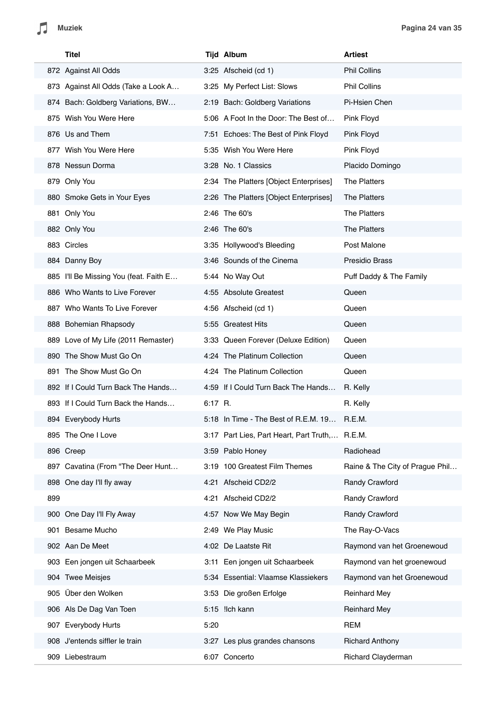|     | Titel                                  |           | <b>Tijd Album</b>                              | <b>Artiest</b>                  |
|-----|----------------------------------------|-----------|------------------------------------------------|---------------------------------|
|     | 872 Against All Odds                   |           | 3:25 Afscheid (cd 1)                           | <b>Phil Collins</b>             |
|     | 873 Against All Odds (Take a Look A    |           | 3:25 My Perfect List: Slows                    | <b>Phil Collins</b>             |
|     | 874 Bach: Goldberg Variations, BW      |           | 2:19 Bach: Goldberg Variations                 | Pi-Hsien Chen                   |
|     | 875 Wish You Were Here                 |           | 5:06 A Foot In the Door: The Best of           | Pink Floyd                      |
|     | 876 Us and Them                        |           | 7:51 Echoes: The Best of Pink Floyd            | Pink Floyd                      |
|     | 877 Wish You Were Here                 |           | 5:35 Wish You Were Here                        | Pink Floyd                      |
|     | 878 Nessun Dorma                       |           | 3:28 No. 1 Classics                            | Placido Domingo                 |
|     | 879 Only You                           |           | 2:34 The Platters [Object Enterprises]         | The Platters                    |
|     | 880 Smoke Gets in Your Eyes            |           | 2:26 The Platters [Object Enterprises]         | The Platters                    |
|     | 881 Only You                           |           | 2:46 The 60's                                  | <b>The Platters</b>             |
|     | 882 Only You                           |           | 2:46 The 60's                                  | The Platters                    |
|     | 883 Circles                            |           | 3:35 Hollywood's Bleeding                      | Post Malone                     |
|     | 884 Danny Boy                          |           | 3:46 Sounds of the Cinema                      | <b>Presidio Brass</b>           |
|     | 885 I'll Be Missing You (feat. Faith E |           | 5:44 No Way Out                                | Puff Daddy & The Family         |
|     | 886 Who Wants to Live Forever          |           | 4:55 Absolute Greatest                         | Queen                           |
|     | 887 Who Wants To Live Forever          |           | 4:56 Afscheid (cd 1)                           | Queen                           |
|     | 888 Bohemian Rhapsody                  |           | 5:55 Greatest Hits                             | Queen                           |
|     | 889 Love of My Life (2011 Remaster)    |           | 3:33 Queen Forever (Deluxe Edition)            | Queen                           |
|     | 890 The Show Must Go On                |           | 4:24 The Platinum Collection                   | Queen                           |
|     | 891 The Show Must Go On                |           | 4:24 The Platinum Collection                   | Queen                           |
|     | 892 If I Could Turn Back The Hands     |           | 4:59 If I Could Turn Back The Hands            | R. Kelly                        |
|     | 893 If I Could Turn Back the Hands     | $6:17$ R. |                                                | R. Kelly                        |
|     | 894 Everybody Hurts                    |           | 5:18 In Time - The Best of R.E.M. 19           | R.E.M.                          |
|     | 895 The One I Love                     |           | 3:17 Part Lies, Part Heart, Part Truth, R.E.M. |                                 |
|     | 896 Creep                              |           | 3:59 Pablo Honey                               | Radiohead                       |
|     | 897 Cavatina (From "The Deer Hunt      |           | 3:19 100 Greatest Film Themes                  | Raine & The City of Prague Phil |
|     | 898 One day I'll fly away              |           | 4:21 Afscheid CD2/2                            | Randy Crawford                  |
| 899 |                                        |           | 4:21 Afscheid CD2/2                            | Randy Crawford                  |
|     | 900 One Day I'll Fly Away              |           | 4:57 Now We May Begin                          | Randy Crawford                  |
|     | 901 Besame Mucho                       |           | 2:49 We Play Music                             | The Ray-O-Vacs                  |
|     | 902 Aan De Meet                        |           | 4:02 De Laatste Rit                            | Raymond van het Groenewoud      |
|     | 903 Een jongen uit Schaarbeek          |           | 3:11 Een jongen uit Schaarbeek                 | Raymond van het groenewoud      |
|     | 904 Twee Meisjes                       |           | 5:34 Essential: Vlaamse Klassiekers            | Raymond van het Groenewoud      |
|     | 905 Über den Wolken                    |           | 3:53 Die großen Erfolge                        | <b>Reinhard Mey</b>             |
|     | 906 Als De Dag Van Toen                |           | 5:15 !lch kann                                 | <b>Reinhard Mey</b>             |
|     | 907 Everybody Hurts                    | 5:20      |                                                | <b>REM</b>                      |
|     | 908 J'entends siffler le train         |           | 3:27 Les plus grandes chansons                 | <b>Richard Anthony</b>          |
|     | 909 Liebestraum                        |           | 6:07 Concerto                                  | Richard Clayderman              |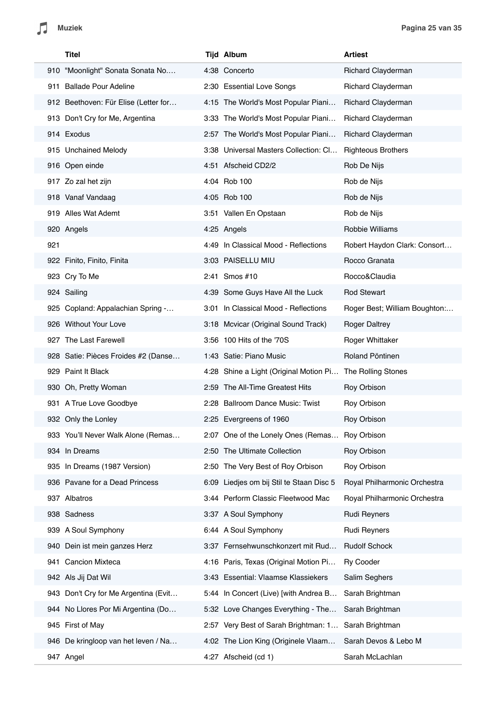|     | Titel                                | <b>Tijd Album</b>                                         | <b>Artiest</b>                |
|-----|--------------------------------------|-----------------------------------------------------------|-------------------------------|
|     | 910 "Moonlight" Sonata Sonata No     | 4:38 Concerto                                             | Richard Clayderman            |
|     | 911 Ballade Pour Adeline             | 2:30 Essential Love Songs                                 | Richard Clayderman            |
|     | 912 Beethoven: Für Elise (Letter for | 4:15 The World's Most Popular Piani                       | Richard Clayderman            |
|     | 913 Don't Cry for Me, Argentina      | 3:33 The World's Most Popular Piani                       | <b>Richard Clayderman</b>     |
|     | 914 Exodus                           | 2:57 The World's Most Popular Piani                       | Richard Clayderman            |
|     | 915 Unchained Melody                 | 3:38 Universal Masters Collection: Cl                     | <b>Righteous Brothers</b>     |
|     | 916 Open einde                       | 4:51 Afscheid CD2/2                                       | Rob De Nijs                   |
|     | 917 Zo zal het zijn                  | 4:04 Rob 100                                              | Rob de Nijs                   |
|     | 918 Vanaf Vandaag                    | 4:05 Rob 100                                              | Rob de Nijs                   |
|     | 919 Alles Wat Ademt                  | 3:51 Vallen En Opstaan                                    | Rob de Nijs                   |
|     | 920 Angels                           | 4:25 Angels                                               | Robbie Williams               |
| 921 |                                      | 4:49 In Classical Mood - Reflections                      | Robert Haydon Clark: Consort  |
|     | 922 Finito, Finito, Finita           | 3:03 PAISELLU MIU                                         | Rocco Granata                 |
|     | 923 Cry To Me                        | 2:41 Smos #10                                             | Rocco&Claudia                 |
|     | 924 Sailing                          | 4:39 Some Guys Have All the Luck                          | <b>Rod Stewart</b>            |
|     | 925 Copland: Appalachian Spring -    | 3:01 In Classical Mood - Reflections                      | Roger Best; William Boughton: |
|     | 926 Without Your Love                | 3:18 Mcvicar (Original Sound Track)                       | <b>Roger Daltrey</b>          |
|     | 927 The Last Farewell                | 3:56 100 Hits of the '70S                                 | Roger Whittaker               |
|     | 928 Satie: Pièces Froides #2 (Danse  | 1:43 Satie: Piano Music                                   | Roland Pöntinen               |
|     | 929 Paint It Black                   | 4:28 Shine a Light (Original Motion Pi The Rolling Stones |                               |
|     | 930 Oh, Pretty Woman                 | 2:59 The All-Time Greatest Hits                           | Roy Orbison                   |
|     | 931 A True Love Goodbye              | 2:28 Ballroom Dance Music: Twist                          | Roy Orbison                   |
|     | 932 Only the Lonley                  | 2:25 Evergreens of 1960                                   | Roy Orbison                   |
|     | 933 You'll Never Walk Alone (Remas   | 2:07 One of the Lonely Ones (Remas                        | Roy Orbison                   |
|     | 934 In Dreams                        | 2:50 The Ultimate Collection                              | Roy Orbison                   |
|     | 935 In Dreams (1987 Version)         | 2:50 The Very Best of Roy Orbison                         | Roy Orbison                   |
|     | 936 Pavane for a Dead Princess       | 6:09 Liedjes om bij Stil te Staan Disc 5                  | Royal Philharmonic Orchestra  |
|     | 937 Albatros                         | 3:44 Perform Classic Fleetwood Mac                        | Royal Philharmonic Orchestra  |
|     | 938 Sadness                          | 3:37 A Soul Symphony                                      | <b>Rudi Reyners</b>           |
|     | 939 A Soul Symphony                  | 6:44 A Soul Symphony                                      | <b>Rudi Reyners</b>           |
|     | 940 Dein ist mein ganzes Herz        | 3:37 Fernsehwunschkonzert mit Rud                         | <b>Rudolf Schock</b>          |
|     | 941 Cancion Mixteca                  | 4:16 Paris, Texas (Original Motion Pi                     | <b>Ry Cooder</b>              |
|     | 942 Als Jij Dat Wil                  | 3:43 Essential: Vlaamse Klassiekers                       | Salim Seghers                 |
|     | 943 Don't Cry for Me Argentina (Evit | 5:44 In Concert (Live) [with Andrea B                     | Sarah Brightman               |
|     | 944 No Llores Por Mi Argentina (Do   | 5:32 Love Changes Everything - The                        | Sarah Brightman               |
|     | 945 First of May                     | 2:57 Very Best of Sarah Brightman: 1                      | Sarah Brightman               |
|     | 946 De kringloop van het leven / Na  | 4:02 The Lion King (Originele Vlaam                       | Sarah Devos & Lebo M          |
|     | 947 Angel                            | 4:27 Afscheid (cd 1)                                      | Sarah McLachlan               |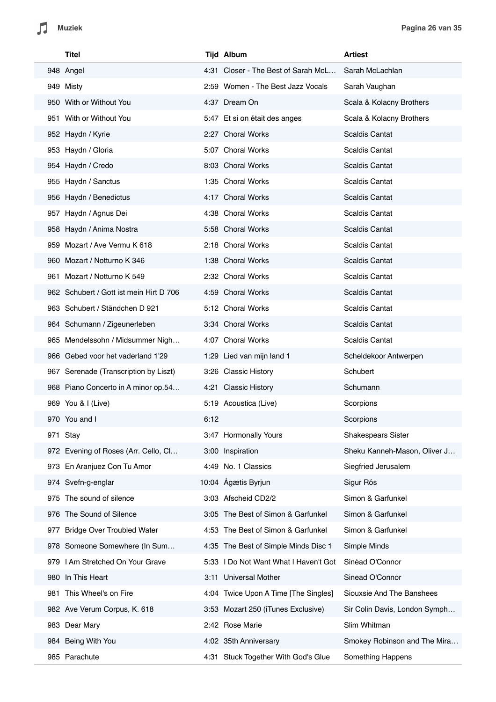| Titel                                   | <b>Tijd Album</b>     |                                       | <b>Artiest</b>                |
|-----------------------------------------|-----------------------|---------------------------------------|-------------------------------|
| 948 Angel                               |                       | 4:31 Closer - The Best of Sarah McL   | Sarah McLachlan               |
| 949 Misty                               |                       | 2:59 Women - The Best Jazz Vocals     | Sarah Vaughan                 |
| 950 With or Without You                 | 4:37 Dream On         |                                       | Scala & Kolacny Brothers      |
| 951 With or Without You                 |                       | 5:47 Et si on était des anges         | Scala & Kolacny Brothers      |
| 952 Haydn / Kyrie                       | 2:27 Choral Works     |                                       | <b>Scaldis Cantat</b>         |
| 953 Haydn / Gloria                      | 5:07 Choral Works     |                                       | <b>Scaldis Cantat</b>         |
| 954 Haydn / Credo                       | 8:03 Choral Works     |                                       | <b>Scaldis Cantat</b>         |
| 955 Haydn / Sanctus                     | 1:35 Choral Works     |                                       | <b>Scaldis Cantat</b>         |
| 956 Haydn / Benedictus                  | 4:17 Choral Works     |                                       | <b>Scaldis Cantat</b>         |
| 957 Haydn / Agnus Dei                   | 4:38 Choral Works     |                                       | <b>Scaldis Cantat</b>         |
| 958 Haydn / Anima Nostra                | 5:58 Choral Works     |                                       | <b>Scaldis Cantat</b>         |
| 959 Mozart / Ave Vermu K 618            | 2:18 Choral Works     |                                       | <b>Scaldis Cantat</b>         |
| 960 Mozart / Notturno K 346             | 1:38 Choral Works     |                                       | <b>Scaldis Cantat</b>         |
| 961 Mozart / Notturno K 549             | 2:32 Choral Works     |                                       | <b>Scaldis Cantat</b>         |
| 962 Schubert / Gott ist mein Hirt D 706 | 4:59 Choral Works     |                                       | <b>Scaldis Cantat</b>         |
| 963 Schubert / Ständchen D 921          | 5:12 Choral Works     |                                       | <b>Scaldis Cantat</b>         |
| 964 Schumann / Zigeunerleben            | 3:34 Choral Works     |                                       | <b>Scaldis Cantat</b>         |
| 965 Mendelssohn / Midsummer Nigh        | 4:07 Choral Works     |                                       | <b>Scaldis Cantat</b>         |
| 966 Gebed voor het vaderland 1'29       |                       | 1:29 Lied van mijn land 1             | Scheldekoor Antwerpen         |
| 967 Serenade (Transcription by Liszt)   | 3:26 Classic History  |                                       | Schubert                      |
| 968 Piano Concerto in A minor op.54     | 4:21 Classic History  |                                       | Schumann                      |
| 969 You & I (Live)                      | 5:19 Acoustica (Live) |                                       | Scorpions                     |
| 970 You and I                           | 6:12                  |                                       | Scorpions                     |
| 971 Stay                                |                       | 3:47 Hormonally Yours                 | Shakespears Sister            |
| 972 Evening of Roses (Arr. Cello, Cl    | 3:00 Inspiration      |                                       | Sheku Kanneh-Mason, Oliver J  |
| 973 En Aranjuez Con Tu Amor             | 4:49 No. 1 Classics   |                                       | Siegfried Jerusalem           |
| 974 Svefn-g-englar                      | 10:04 Ágætis Byrjun   |                                       | Sigur Rós                     |
| The sound of silence<br>975             | 3:03 Afscheid CD2/2   |                                       | Simon & Garfunkel             |
| 976 The Sound of Silence                |                       | 3:05 The Best of Simon & Garfunkel    | Simon & Garfunkel             |
| 977 Bridge Over Troubled Water          |                       | 4:53 The Best of Simon & Garfunkel    | Simon & Garfunkel             |
| 978 Someone Somewhere (In Sum           |                       | 4:35 The Best of Simple Minds Disc 1  | Simple Minds                  |
| 979 I Am Stretched On Your Grave        |                       | 5:33 I Do Not Want What I Haven't Got | Sinéad O'Connor               |
| In This Heart<br>980                    |                       | 3:11 Universal Mother                 | Sinead O'Connor               |
| This Wheel's on Fire<br>981             |                       | 4:04 Twice Upon A Time [The Singles]  | Siouxsie And The Banshees     |
| 982 Ave Verum Corpus, K. 618            |                       | 3:53 Mozart 250 (iTunes Exclusive)    | Sir Colin Davis, London Symph |
| 983 Dear Mary                           | 2:42 Rose Marie       |                                       | Slim Whitman                  |
| 984 Being With You                      | 4:02 35th Anniversary |                                       | Smokey Robinson and The Mira  |
| 985 Parachute                           |                       | 4:31 Stuck Together With God's Glue   | Something Happens             |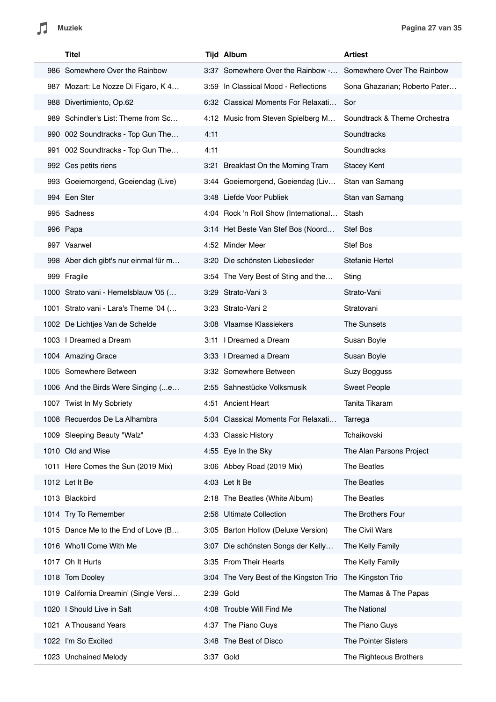|      | Titel                                  |      | <b>Tijd Album</b>                       | <b>Artiest</b>                |
|------|----------------------------------------|------|-----------------------------------------|-------------------------------|
|      | 986 Somewhere Over the Rainbow         |      | 3:37 Somewhere Over the Rainbow -       | Somewhere Over The Rainbow    |
|      | 987 Mozart: Le Nozze Di Figaro, K 4    |      | 3:59 In Classical Mood - Reflections    | Sona Ghazarian; Roberto Pater |
|      | 988 Divertimiento, Op.62               |      | 6:32 Classical Moments For Relaxati     | Sor                           |
|      | 989 Schindler's List: Theme from Sc    |      | 4:12 Music from Steven Spielberg M      | Soundtrack & Theme Orchestra  |
|      | 990 002 Soundtracks - Top Gun The      | 4:11 |                                         | Soundtracks                   |
| 991. | 002 Soundtracks - Top Gun The          | 4:11 |                                         | Soundtracks                   |
|      | 992 Ces petits riens                   |      | 3:21 Breakfast On the Morning Tram      | <b>Stacey Kent</b>            |
|      | 993 Goeiemorgend, Goeiendag (Live)     |      | 3:44 Goeiemorgend, Goeiendag (Liv       | Stan van Samang               |
|      | 994 Een Ster                           |      | 3:48 Liefde Voor Publiek                | Stan van Samang               |
|      | 995 Sadness                            |      | 4:04 Rock 'n Roll Show (International   | Stash                         |
|      | 996 Papa                               |      | 3:14 Het Beste Van Stef Bos (Noord      | <b>Stef Bos</b>               |
|      | 997 Vaarwel                            |      | 4:52 Minder Meer                        | Stef Bos                      |
|      | 998 Aber dich gibt's nur einmal für m  |      | 3:20 Die schönsten Liebeslieder         | Stefanie Hertel               |
|      | 999 Fragile                            |      | 3:54 The Very Best of Sting and the     | Sting                         |
|      | 1000 Strato vani - Hemelsblauw '05 (   |      | 3:29 Strato-Vani 3                      | Strato-Vani                   |
|      | 1001 Strato vani - Lara's Theme '04 (  |      | 3:23 Strato-Vani 2                      | Stratovani                    |
|      | 1002 De Lichtjes Van de Schelde        |      | 3:08 Vlaamse Klassiekers                | The Sunsets                   |
|      | 1003   Dreamed a Dream                 |      | 3:11   Dreamed a Dream                  | Susan Boyle                   |
|      | 1004 Amazing Grace                     |      | 3:33   Dreamed a Dream                  | Susan Boyle                   |
|      | 1005 Somewhere Between                 |      | 3:32 Somewhere Between                  | Suzy Bogguss                  |
|      | 1006 And the Birds Were Singing (e     |      | 2:55 Sahnestücke Volksmusik             | <b>Sweet People</b>           |
|      | 1007 Twist In My Sobriety              |      | 4:51 Ancient Heart                      | Tanita Tikaram                |
|      | 1008 Recuerdos De La Alhambra          |      | 5:04 Classical Moments For Relaxati     | Tarrega                       |
|      | 1009 Sleeping Beauty "Walz"            |      | 4:33 Classic History                    | Tchaikovski                   |
|      | 1010 Old and Wise                      |      | 4:55 Eye In the Sky                     | The Alan Parsons Project      |
|      | 1011 Here Comes the Sun (2019 Mix)     |      | 3:06 Abbey Road (2019 Mix)              | The Beatles                   |
|      | 1012 Let It Be                         |      | 4:03 Let It Be                          | The Beatles                   |
|      | 1013 Blackbird                         |      | 2:18 The Beatles (White Album)          | The Beatles                   |
|      | 1014 Try To Remember                   |      | 2:56 Ultimate Collection                | The Brothers Four             |
|      | 1015 Dance Me to the End of Love (B    |      | 3:05 Barton Hollow (Deluxe Version)     | The Civil Wars                |
|      | 1016 Who'll Come With Me               |      | 3:07 Die schönsten Songs der Kelly      | The Kelly Family              |
|      | 1017 Oh It Hurts                       |      | 3:35 From Their Hearts                  | The Kelly Family              |
|      | 1018 Tom Dooley                        |      | 3:04 The Very Best of the Kingston Trio | The Kingston Trio             |
|      | 1019 California Dreamin' (Single Versi |      | 2:39 Gold                               | The Mamas & The Papas         |
|      | 1020 I Should Live in Salt             |      | 4:08 Trouble Will Find Me               | The National                  |
|      | 1021 A Thousand Years                  |      | 4:37 The Piano Guys                     | The Piano Guys                |
|      | 1022 I'm So Excited                    |      | 3:48 The Best of Disco                  | The Pointer Sisters           |
|      | 1023 Unchained Melody                  |      | 3:37 Gold                               | The Righteous Brothers        |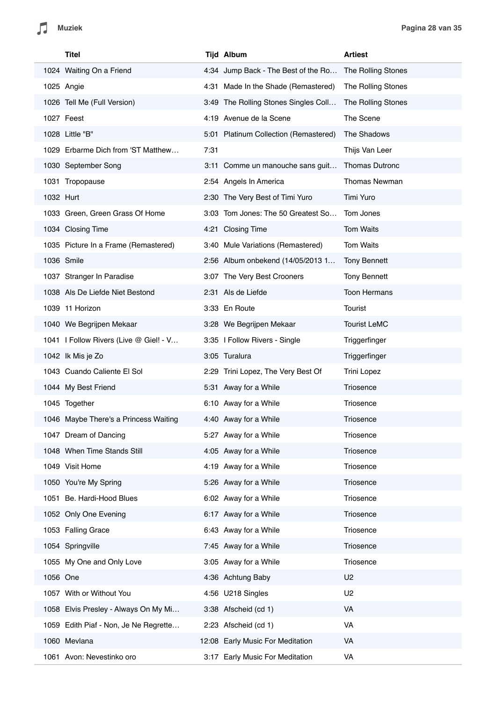|           | Titel                                  |      | <b>Tijd Album</b>                     | <b>Artiest</b>        |
|-----------|----------------------------------------|------|---------------------------------------|-----------------------|
|           | 1024 Waiting On a Friend               |      | 4:34 Jump Back - The Best of the Ro   | The Rolling Stones    |
|           | 1025 Angie                             |      | 4:31 Made In the Shade (Remastered)   | The Rolling Stones    |
|           | 1026 Tell Me (Full Version)            |      | 3:49 The Rolling Stones Singles Coll  | The Rolling Stones    |
|           | 1027 Feest                             |      | 4:19 Avenue de la Scene               | The Scene             |
|           | 1028 Little "B"                        |      | 5:01 Platinum Collection (Remastered) | The Shadows           |
|           | 1029 Erbarme Dich from 'ST Matthew     | 7:31 |                                       | Thijs Van Leer        |
|           | 1030 September Song                    |      | 3:11 Comme un manouche sans guit      | <b>Thomas Dutronc</b> |
|           | 1031 Tropopause                        |      | 2:54 Angels In America                | Thomas Newman         |
| 1032 Hurt |                                        |      | 2:30 The Very Best of Timi Yuro       | Timi Yuro             |
|           | 1033 Green, Green Grass Of Home        |      | 3:03 Tom Jones: The 50 Greatest So    | Tom Jones             |
|           | 1034 Closing Time                      |      | 4:21 Closing Time                     | <b>Tom Waits</b>      |
|           | 1035 Picture In a Frame (Remastered)   |      | 3:40 Mule Variations (Remastered)     | Tom Waits             |
|           | 1036 Smile                             |      | 2:56 Album onbekend (14/05/2013 1     | <b>Tony Bennett</b>   |
|           | 1037 Stranger In Paradise              |      | 3:07 The Very Best Crooners           | <b>Tony Bennett</b>   |
|           | 1038 Als De Liefde Niet Bestond        |      | 2:31 Als de Liefde                    | <b>Toon Hermans</b>   |
|           | 1039 11 Horizon                        |      | 3:33 En Route                         | Tourist               |
|           | 1040 We Begrijpen Mekaar               |      | 3:28 We Begrijpen Mekaar              | <b>Tourist LeMC</b>   |
|           | 1041   Follow Rivers (Live @ Giel! - V |      | 3:35   Follow Rivers - Single         | Triggerfinger         |
|           | 1042 Ik Mis je Zo                      |      | 3:05 Turalura                         | Triggerfinger         |
|           | 1043 Cuando Caliente El Sol            |      | 2:29 Trini Lopez, The Very Best Of    | <b>Trini Lopez</b>    |
|           | 1044 My Best Friend                    |      | 5:31 Away for a While                 | Triosence             |
|           | 1045 Together                          |      | 6:10 Away for a While                 | Triosence             |
|           | 1046 Maybe There's a Princess Waiting  |      | 4:40 Away for a While                 | Triosence             |
|           | 1047 Dream of Dancing                  |      | 5:27 Away for a While                 | Triosence             |
|           | 1048 When Time Stands Still            |      | 4:05 Away for a While                 | Triosence             |
|           | 1049 Visit Home                        |      | 4:19 Away for a While                 | Triosence             |
|           | 1050 You're My Spring                  |      | 5:26 Away for a While                 | Triosence             |
|           | 1051 Be. Hardi-Hood Blues              |      | 6:02 Away for a While                 | Triosence             |
|           | 1052 Only One Evening                  |      | 6:17 Away for a While                 | Triosence             |
|           | 1053 Falling Grace                     |      | 6:43 Away for a While                 | Triosence             |
|           | 1054 Springville                       |      | 7:45 Away for a While                 | Triosence             |
|           | 1055 My One and Only Love              |      | 3:05 Away for a While                 | Triosence             |
| 1056 One  |                                        |      | 4:36 Achtung Baby                     | U <sub>2</sub>        |
|           | 1057 With or Without You               |      | 4:56 U218 Singles                     | U <sub>2</sub>        |
|           | 1058 Elvis Presley - Always On My Mi   |      | 3:38 Afscheid (cd 1)                  | VA                    |
|           | 1059 Edith Piaf - Non, Je Ne Regrette  |      | 2:23 Afscheid (cd 1)                  | VA                    |
|           | 1060 Mevlana                           |      | 12:08 Early Music For Meditation      | VA                    |
|           | 1061 Avon: Nevestinko oro              |      | 3:17 Early Music For Meditation       | VA                    |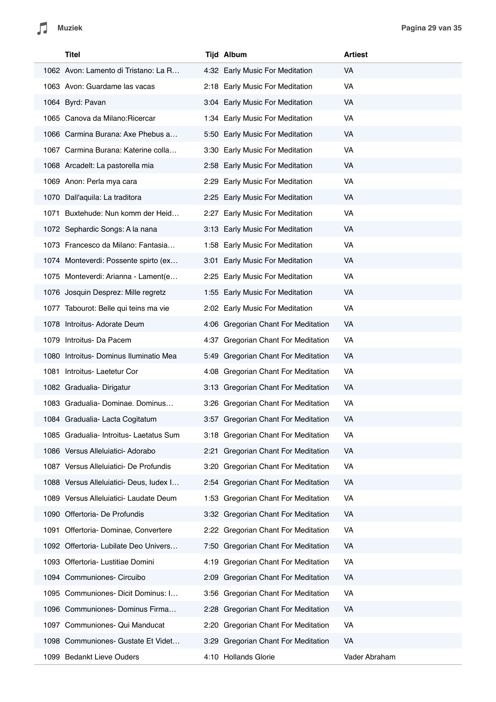|      | Titel                                   |      | <b>Tijd Album</b>                     | <b>Artiest</b> |
|------|-----------------------------------------|------|---------------------------------------|----------------|
|      | 1062 Avon: Lamento di Tristano: La R    |      | 4:32 Early Music For Meditation       | <b>VA</b>      |
|      | 1063 Avon: Guardame las vacas           |      | 2:18 Early Music For Meditation       | VA             |
|      | 1064 Byrd: Pavan                        |      | 3:04 Early Music For Meditation       | VA             |
|      | 1065 Canova da Milano: Ricercar         |      | 1:34 Early Music For Meditation       | VA             |
|      | 1066 Carmina Burana: Axe Phebus a       |      | 5:50 Early Music For Meditation       | VA             |
|      | 1067 Carmina Burana: Katerine colla     |      | 3:30 Early Music For Meditation       | VA             |
|      | 1068 Arcadelt: La pastorella mia        |      | 2:58 Early Music For Meditation       | VA             |
|      | 1069 Anon: Perla mya cara               |      | 2:29 Early Music For Meditation       | VA             |
|      | 1070 Dall'aquila: La traditora          |      | 2:25 Early Music For Meditation       | VA             |
|      | 1071 Buxtehude: Nun komm der Heid       |      | 2:27 Early Music For Meditation       | VA             |
|      | 1072 Sephardic Songs: A la nana         |      | 3:13 Early Music For Meditation       | VA             |
|      | 1073 Francesco da Milano: Fantasia      |      | 1:58 Early Music For Meditation       | VA             |
|      | 1074 Monteverdi: Possente spirto (ex    |      | 3:01 Early Music For Meditation       | VA             |
|      | 1075 Monteverdi: Arianna - Lament(e     |      | 2:25 Early Music For Meditation       | VA             |
|      | 1076 Josquin Desprez: Mille regretz     |      | 1:55 Early Music For Meditation       | VA             |
|      | 1077 Tabourot: Belle qui teins ma vie   |      | 2:02 Early Music For Meditation       | VA             |
|      | 1078 Introitus- Adorate Deum            |      | 4:06 Gregorian Chant For Meditation   | VA             |
|      | 1079 Introitus- Da Pacem                |      | 4:37 Gregorian Chant For Meditation   | VA             |
|      | 1080 Introitus- Dominus Iluminatio Mea  |      | 5:49 Gregorian Chant For Meditation   | VA             |
| 1081 | Introitus- Laetetur Cor                 |      | 4:08 Gregorian Chant For Meditation   | VA             |
|      | 1082 Gradualia-Dirigatur                |      | 3:13 Gregorian Chant For Meditation   | VA             |
|      | 1083 Gradualia-Dominae. Dominus         |      | 3:26 Gregorian Chant For Meditation   | VA             |
|      | 1084 Gradualia- Lacta Cogitatum         |      | 3:57 Gregorian Chant For Meditation   | VA             |
|      | 1085 Gradualia- Introitus- Laetatus Sum |      | 3:18 Gregorian Chant For Meditation   | VA             |
|      | 1086 Versus Alleluiatici- Adorabo       |      | 2:21 Gregorian Chant For Meditation   | VA             |
|      | 1087 Versus Alleluiatici- De Profundis  | 3:20 | Gregorian Chant For Meditation        | VA             |
|      | 1088 Versus Alleluiatici- Deus, ludex I |      | 2:54 Gregorian Chant For Meditation   | VA             |
|      | 1089 Versus Alleluiatici- Laudate Deum  |      | 1:53 Gregorian Chant For Meditation   | VA             |
|      | 1090 Offertoria- De Profundis           |      | 3:32 Gregorian Chant For Meditation   | VA             |
| 1091 | Offertoria- Dominae, Convertere         |      | 2:22 Gregorian Chant For Meditation   | VA             |
|      | 1092 Offertoria- Lubilate Deo Univers   | 7:50 | <b>Gregorian Chant For Meditation</b> | VA             |
| 1093 | Offertoria- Lustitiae Domini            | 4:19 | Gregorian Chant For Meditation        | VA             |
|      | 1094 Communiones- Circuibo              | 2:09 | Gregorian Chant For Meditation        | VA             |
|      | 1095 Communiones- Dicit Dominus: I      |      | 3:56 Gregorian Chant For Meditation   | VA             |
|      | 1096 Communiones- Dominus Firma         |      | 2:28 Gregorian Chant For Meditation   | VA             |
| 1097 | Communiones- Qui Manducat               | 2:20 | Gregorian Chant For Meditation        | VA             |
|      | 1098 Communiones- Gustate Et Videt      | 3:29 | Gregorian Chant For Meditation        | VA             |
|      | 1099 Bedankt Lieve Ouders               |      | 4:10 Hollands Glorie                  | Vader Abraham  |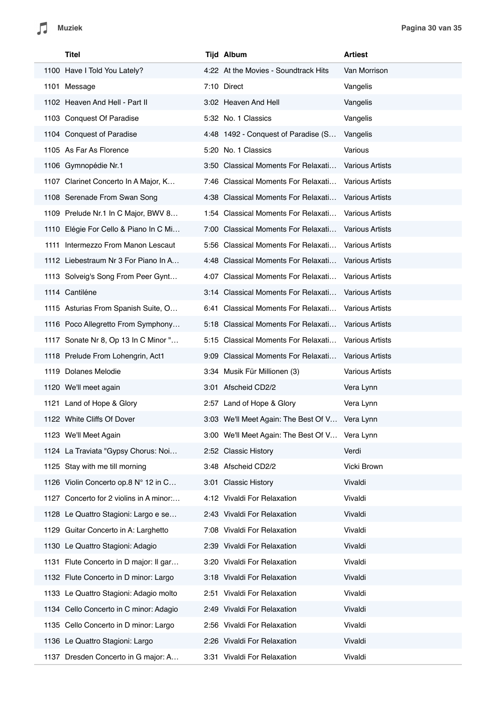|  | Titel                                   | <b>Tijd Album</b>                              | <b>Artiest</b>         |
|--|-----------------------------------------|------------------------------------------------|------------------------|
|  | 1100 Have I Told You Lately?            | 4:22 At the Movies - Soundtrack Hits           | Van Morrison           |
|  | 1101 Message                            | 7:10 Direct                                    | Vangelis               |
|  | 1102 Heaven And Hell - Part II          | 3:02 Heaven And Hell                           | Vangelis               |
|  | 1103 Conquest Of Paradise               | 5:32 No. 1 Classics                            | Vangelis               |
|  | 1104 Conquest of Paradise               | 4:48 1492 - Conquest of Paradise (S            | Vangelis               |
|  | 1105 As Far As Florence                 | 5:20 No. 1 Classics                            | Various                |
|  | 1106 Gymnopédie Nr.1                    | 3:50 Classical Moments For Relaxati            | <b>Various Artists</b> |
|  | 1107 Clarinet Concerto In A Major, K    | 7:46 Classical Moments For Relaxati            | <b>Various Artists</b> |
|  | 1108 Serenade From Swan Song            | 4:38 Classical Moments For Relaxati            | <b>Various Artists</b> |
|  | 1109 Prelude Nr.1 In C Major, BWV 8     | 1:54 Classical Moments For Relaxati            | <b>Various Artists</b> |
|  | 1110 Elégie For Cello & Piano In C Mi   | 7:00 Classical Moments For Relaxati            | <b>Various Artists</b> |
|  | 1111 Intermezzo From Manon Lescaut      | 5:56 Classical Moments For Relaxati            | <b>Various Artists</b> |
|  | 1112 Liebestraum Nr 3 For Piano In A    | 4:48 Classical Moments For Relaxati            | <b>Various Artists</b> |
|  | 1113 Solveig's Song From Peer Gynt      | 4:07 Classical Moments For Relaxati            | <b>Various Artists</b> |
|  | 1114 Cantiléne                          | 3:14 Classical Moments For Relaxati            | <b>Various Artists</b> |
|  | 1115 Asturias From Spanish Suite, O     | 6:41 Classical Moments For Relaxati            | <b>Various Artists</b> |
|  | 1116 Poco Allegretto From Symphony      | 5:18 Classical Moments For Relaxati            | <b>Various Artists</b> |
|  | 1117 Sonate Nr 8, Op 13 In C Minor "    | 5:15 Classical Moments For Relaxati            | <b>Various Artists</b> |
|  | 1118 Prelude From Lohengrin, Act1       | 9:09 Classical Moments For Relaxati            | <b>Various Artists</b> |
|  | 1119 Dolanes Melodie                    | 3:34 Musik Für Millionen (3)                   | <b>Various Artists</b> |
|  | 1120 We'll meet again                   | 3:01 Afscheid CD2/2                            | Vera Lynn              |
|  | 1121 Land of Hope & Glory               | 2:57 Land of Hope & Glory                      | Vera Lynn              |
|  | 1122 White Cliffs Of Dover              | 3:03 We'll Meet Again: The Best Of V           | Vera Lynn              |
|  | 1123 We'll Meet Again                   | 3:00 We'll Meet Again: The Best Of V Vera Lynn |                        |
|  | 1124 La Traviata "Gypsy Chorus: Noi     | 2:52 Classic History                           | Verdi                  |
|  | 1125 Stay with me till morning          | 3:48 Afscheid CD2/2                            | Vicki Brown            |
|  | 1126 Violin Concerto op.8 N° 12 in C    | 3:01 Classic History                           | Vivaldi                |
|  | 1127 Concerto for 2 violins in A minor: | 4:12 Vivaldi For Relaxation                    | Vivaldi                |
|  | 1128 Le Quattro Stagioni: Largo e se    | 2:43 Vivaldi For Relaxation                    | Vivaldi                |
|  | 1129 Guitar Concerto in A: Larghetto    | 7:08 Vivaldi For Relaxation                    | Vivaldi                |
|  | 1130 Le Quattro Stagioni: Adagio        | 2:39 Vivaldi For Relaxation                    | Vivaldi                |
|  | 1131 Flute Concerto in D major: Il gar  | 3:20 Vivaldi For Relaxation                    | Vivaldi                |
|  | 1132 Flute Concerto in D minor: Largo   | 3:18 Vivaldi For Relaxation                    | Vivaldi                |
|  | 1133 Le Quattro Stagioni: Adagio molto  | 2:51 Vivaldi For Relaxation                    | Vivaldi                |
|  | 1134 Cello Concerto in C minor: Adagio  | 2:49 Vivaldi For Relaxation                    | Vivaldi                |
|  | 1135 Cello Concerto in D minor: Largo   | 2:56 Vivaldi For Relaxation                    | Vivaldi                |
|  | 1136 Le Quattro Stagioni: Largo         | 2:26 Vivaldi For Relaxation                    | Vivaldi                |
|  | 1137 Dresden Concerto in G major: A     | 3:31 Vivaldi For Relaxation                    | Vivaldi                |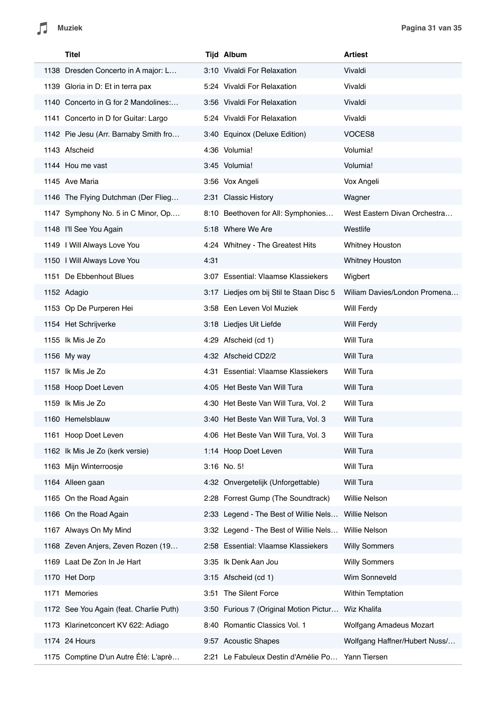| Titel                                   |      | <b>Tijd Album</b>                        | <b>Artiest</b>                 |
|-----------------------------------------|------|------------------------------------------|--------------------------------|
| 1138 Dresden Concerto in A major: L     |      | 3:10 Vivaldi For Relaxation              | Vivaldi                        |
| 1139 Gloria in D: Et in terra pax       |      | 5:24 Vivaldi For Relaxation              | Vivaldi                        |
| 1140 Concerto in G for 2 Mandolines:    |      | 3:56 Vivaldi For Relaxation              | Vivaldi                        |
| 1141 Concerto in D for Guitar: Largo    |      | 5:24 Vivaldi For Relaxation              | Vivaldi                        |
| 1142 Pie Jesu (Arr. Barnaby Smith fro   |      | 3:40 Equinox (Deluxe Edition)            | VOCES8                         |
| 1143 Afscheid                           |      | 4:36 Volumia!                            | Volumia!                       |
| 1144 Hou me vast                        |      | 3:45 Volumia!                            | Volumia!                       |
| 1145 Ave Maria                          |      | 3:56 Vox Angeli                          | Vox Angeli                     |
| 1146 The Flying Dutchman (Der Flieg     |      | 2:31 Classic History                     | Wagner                         |
| 1147 Symphony No. 5 in C Minor, Op      |      | 8:10 Beethoven for All: Symphonies       | West Eastern Divan Orchestra   |
| 1148 I'll See You Again                 |      | 5:18 Where We Are                        | Westlife                       |
| 1149 I Will Always Love You             |      | 4:24 Whitney - The Greatest Hits         | Whitney Houston                |
| 1150 I Will Always Love You             | 4:31 |                                          | <b>Whitney Houston</b>         |
| 1151 De Ebbenhout Blues                 |      | 3:07 Essential: Vlaamse Klassiekers      | Wigbert                        |
| 1152 Adagio                             |      | 3:17 Liedjes om bij Stil te Staan Disc 5 | Wiliam Davies/London Promena   |
| 1153 Op De Purperen Hei                 |      | 3:58 Een Leven Vol Muziek                | Will Ferdy                     |
| 1154 Het Schrijverke                    |      | 3:18 Liedjes Uit Liefde                  | Will Ferdy                     |
| 1155 Ik Mis Je Zo                       |      | 4:29 Afscheid (cd 1)                     | Will Tura                      |
| 1156 My way                             |      | 4:32 Afscheid CD2/2                      | Will Tura                      |
| 1157 Ik Mis Je Zo                       |      | 4:31 Essential: Vlaamse Klassiekers      | Will Tura                      |
| 1158 Hoop Doet Leven                    |      | 4:05 Het Beste Van Will Tura             | Will Tura                      |
| 1159 Ik Mis Je Zo                       |      | 4:30 Het Beste Van Will Tura, Vol. 2     | Will Tura                      |
| 1160 Hemelsblauw                        |      | 3:40 Het Beste Van Will Tura, Vol. 3     | Will Tura                      |
| 1161 Hoop Doet Leven                    |      | 4:06 Het Beste Van Will Tura, Vol. 3     | Will Tura                      |
| 1162 Ik Mis Je Zo (kerk versie)         |      | 1:14 Hoop Doet Leven                     | Will Tura                      |
| 1163 Mijn Winterroosje                  |      | 3:16 No. 5!                              | Will Tura                      |
| 1164 Alleen gaan                        |      | 4:32 Onvergetelijk (Unforgettable)       | Will Tura                      |
| 1165 On the Road Again                  |      | 2:28 Forrest Gump (The Soundtrack)       | Willie Nelson                  |
| 1166 On the Road Again                  |      | 2:33 Legend - The Best of Willie Nels    | <b>Willie Nelson</b>           |
| 1167 Always On My Mind                  |      | 3:32 Legend - The Best of Willie Nels    | <b>Willie Nelson</b>           |
| 1168 Zeven Anjers, Zeven Rozen (19      |      | 2:58 Essential: Vlaamse Klassiekers      | <b>Willy Sommers</b>           |
| 1169 Laat De Zon In Je Hart             |      | 3:35 Ik Denk Aan Jou                     | <b>Willy Sommers</b>           |
| 1170 Het Dorp                           |      | 3:15 Afscheid (cd 1)                     | Wim Sonneveld                  |
| Memories<br>1171                        |      | 3:51 The Silent Force                    | Within Temptation              |
| 1172 See You Again (feat. Charlie Puth) |      | 3:50 Furious 7 (Original Motion Pictur   | Wiz Khalifa                    |
| 1173 Klarinetconcert KV 622: Adiago     |      | 8:40 Romantic Classics Vol. 1            | <b>Wolfgang Amadeus Mozart</b> |
| 1174 24 Hours                           |      | 9:57 Acoustic Shapes                     | Wolfgang Haffner/Hubert Nuss/  |
| 1175 Comptine D'un Autre Été: L'aprè    |      | 2:21 Le Fabuleux Destin d'Amélie Po      | Yann Tiersen                   |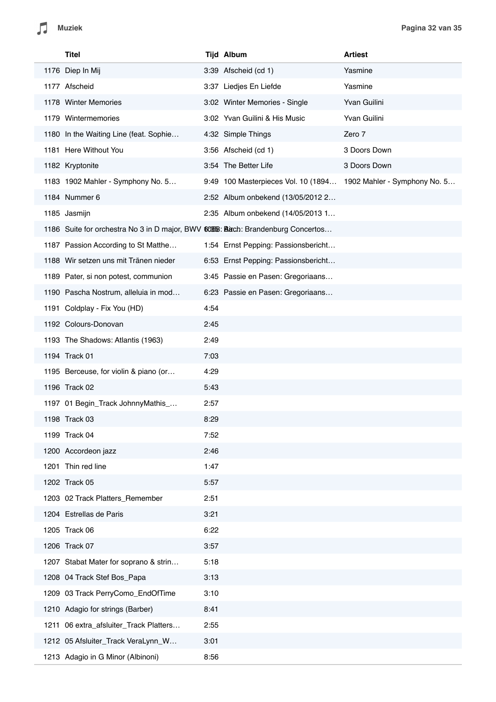|      | Titel                                                                            |      | <b>Tijd Album</b>                   | <b>Artiest</b>               |
|------|----------------------------------------------------------------------------------|------|-------------------------------------|------------------------------|
|      | 1176 Diep In Mij                                                                 |      | 3:39 Afscheid (cd 1)                | Yasmine                      |
|      | 1177 Afscheid                                                                    |      | 3:37 Liedjes En Liefde              | Yasmine                      |
|      | 1178 Winter Memories                                                             |      | 3:02 Winter Memories - Single       | Yvan Guilini                 |
|      | 1179 Wintermemories                                                              |      | 3:02 Yvan Guilini & His Music       | Yvan Guilini                 |
|      | 1180 In the Waiting Line (feat. Sophie                                           |      | 4:32 Simple Things                  | Zero 7                       |
|      | 1181 Here Without You                                                            |      | 3:56 Afscheid (cd 1)                | 3 Doors Down                 |
|      | 1182 Kryptonite                                                                  |      | 3:54 The Better Life                | 3 Doors Down                 |
|      | 1183 1902 Mahler - Symphony No. 5                                                |      | 9:49 100 Masterpieces Vol. 10 (1894 | 1902 Mahler - Symphony No. 5 |
|      | 1184 Nummer 6                                                                    |      | 2:52 Album onbekend (13/05/2012 2   |                              |
|      | 1185 Jasmijn                                                                     |      | 2:35 Album onbekend (14/05/2013 1   |                              |
|      | 1186 Suite for orchestra No 3 in D major, BWV 60668: Bach: Brandenburg Concertos |      |                                     |                              |
|      | 1187 Passion According to St Matthe                                              |      | 1:54 Ernst Pepping: Passionsbericht |                              |
|      | 1188 Wir setzen uns mit Tränen nieder                                            |      | 6:53 Ernst Pepping: Passionsbericht |                              |
|      | 1189 Pater, si non potest, communion                                             |      | 3:45 Passie en Pasen: Gregoriaans   |                              |
|      | 1190 Pascha Nostrum, alleluia in mod                                             |      | 6:23 Passie en Pasen: Gregoriaans   |                              |
|      | 1191 Coldplay - Fix You (HD)                                                     | 4:54 |                                     |                              |
|      | 1192 Colours-Donovan                                                             | 2:45 |                                     |                              |
|      | 1193 The Shadows: Atlantis (1963)                                                | 2:49 |                                     |                              |
|      | 1194 Track 01                                                                    | 7:03 |                                     |                              |
|      | 1195 Berceuse, for violin & piano (or                                            | 4:29 |                                     |                              |
|      | 1196 Track 02                                                                    | 5:43 |                                     |                              |
|      | 1197 01 Begin_Track JohnnyMathis_                                                | 2:57 |                                     |                              |
|      | 1198 Track 03                                                                    | 8:29 |                                     |                              |
|      | 1199 Track 04                                                                    | 7:52 |                                     |                              |
|      | 1200 Accordeon jazz                                                              | 2:46 |                                     |                              |
| 1201 | Thin red line                                                                    | 1:47 |                                     |                              |
|      | 1202 Track 05                                                                    | 5:57 |                                     |                              |
|      | 1203 02 Track Platters_Remember                                                  | 2:51 |                                     |                              |
|      | 1204 Estrellas de Paris                                                          | 3:21 |                                     |                              |
|      | 1205 Track 06                                                                    | 6:22 |                                     |                              |
|      | 1206 Track 07                                                                    | 3:57 |                                     |                              |
|      | 1207 Stabat Mater for soprano & strin                                            | 5:18 |                                     |                              |
|      | 1208 04 Track Stef Bos_Papa                                                      | 3:13 |                                     |                              |
|      | 1209 03 Track PerryComo_EndOfTime                                                | 3:10 |                                     |                              |
|      | 1210 Adagio for strings (Barber)                                                 | 8:41 |                                     |                              |
|      | 1211 06 extra_afsluiter_Track Platters                                           | 2:55 |                                     |                              |
|      | 1212 05 Afsluiter_Track VeraLynn_W                                               | 3:01 |                                     |                              |
|      | 1213 Adagio in G Minor (Albinoni)                                                | 8:56 |                                     |                              |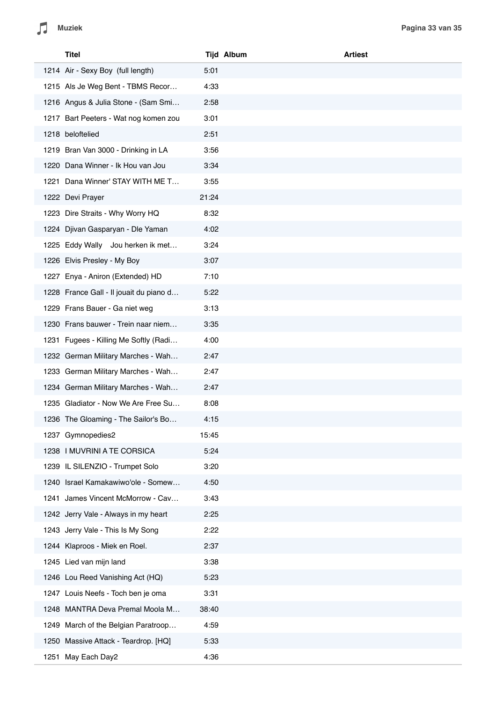|      | Titel                                   |       | <b>Tijd Album</b><br><b>Artiest</b> |
|------|-----------------------------------------|-------|-------------------------------------|
|      | 1214 Air - Sexy Boy (full length)       | 5:01  |                                     |
|      | 1215 Als Je Weg Bent - TBMS Recor       | 4:33  |                                     |
|      | 1216 Angus & Julia Stone - (Sam Smi     | 2:58  |                                     |
|      | 1217 Bart Peeters - Wat nog komen zou   | 3:01  |                                     |
|      | 1218 beloftelied                        | 2:51  |                                     |
|      | 1219 Bran Van 3000 - Drinking in LA     | 3:56  |                                     |
|      | 1220 Dana Winner - Ik Hou van Jou       | 3:34  |                                     |
| 1221 | Dana Winner' STAY WITH ME T             | 3:55  |                                     |
|      | 1222 Devi Prayer                        | 21:24 |                                     |
|      | 1223 Dire Straits - Why Worry HQ        | 8:32  |                                     |
|      | 1224 Djivan Gasparyan - Dle Yaman       | 4:02  |                                     |
|      | 1225 Eddy Wally Jou herken ik met       | 3:24  |                                     |
|      | 1226 Elvis Presley - My Boy             | 3:07  |                                     |
|      | 1227 Enya - Aniron (Extended) HD        | 7:10  |                                     |
|      | 1228 France Gall - Il jouait du piano d | 5:22  |                                     |
|      | 1229 Frans Bauer - Ga niet weg          | 3:13  |                                     |
|      | 1230 Frans bauwer - Trein naar niem     | 3:35  |                                     |
|      | 1231 Fugees - Killing Me Softly (Radi   | 4:00  |                                     |
|      | 1232 German Military Marches - Wah      | 2:47  |                                     |
|      | 1233 German Military Marches - Wah      | 2:47  |                                     |
|      | 1234 German Military Marches - Wah      | 2:47  |                                     |
|      | 1235 Gladiator - Now We Are Free Su     | 8:08  |                                     |
|      | 1236 The Gloaming - The Sailor's Bo     | 4:15  |                                     |
|      | 1237 Gymnopedies2                       | 15:45 |                                     |
|      | 1238 I MUVRINI A TE CORSICA             | 5:24  |                                     |
|      | 1239 IL SILENZIO - Trumpet Solo         | 3:20  |                                     |
|      | 1240 Israel Kamakawiwo'ole - Somew      | 4:50  |                                     |
|      | 1241 James Vincent McMorrow - Cav       | 3:43  |                                     |
|      | 1242 Jerry Vale - Always in my heart    | 2:25  |                                     |
|      | 1243 Jerry Vale - This Is My Song       | 2:22  |                                     |
|      | 1244 Klaproos - Miek en Roel.           | 2:37  |                                     |
|      | 1245 Lied van mijn land                 | 3:38  |                                     |
|      | 1246 Lou Reed Vanishing Act (HQ)        | 5:23  |                                     |
|      | 1247 Louis Neefs - Toch ben je oma      | 3:31  |                                     |
|      | 1248 MANTRA Deva Premal Moola M         | 38:40 |                                     |
|      | 1249 March of the Belgian Paratroop     | 4:59  |                                     |
|      | 1250 Massive Attack - Teardrop. [HQ]    | 5:33  |                                     |
|      | 1251 May Each Day2                      | 4:36  |                                     |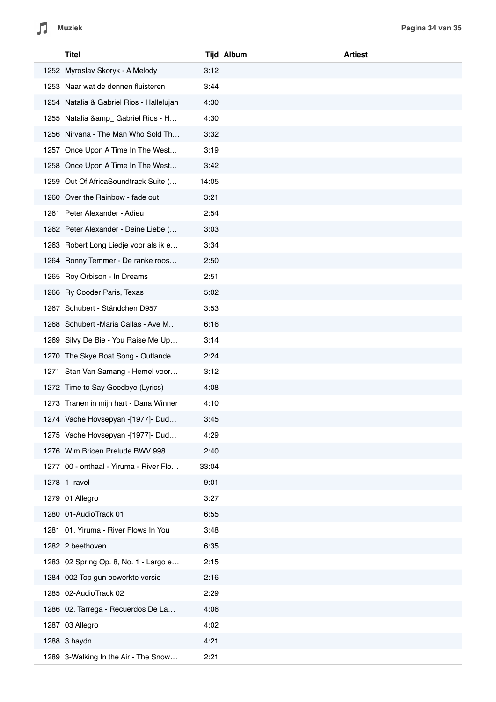| Titel                                    |       | <b>Tijd Album</b> | <b>Artiest</b> |
|------------------------------------------|-------|-------------------|----------------|
| 1252 Myroslav Skoryk - A Melody          | 3:12  |                   |                |
| 1253 Naar wat de dennen fluisteren       | 3:44  |                   |                |
| 1254 Natalia & Gabriel Rios - Hallelujah | 4:30  |                   |                |
| 1255 Natalia & amp_ Gabriel Rios - H     | 4:30  |                   |                |
| 1256 Nirvana - The Man Who Sold Th       | 3:32  |                   |                |
| 1257 Once Upon A Time In The West        | 3:19  |                   |                |
| 1258 Once Upon A Time In The West        | 3:42  |                   |                |
| 1259 Out Of AfricaSoundtrack Suite (     | 14:05 |                   |                |
| 1260 Over the Rainbow - fade out         | 3:21  |                   |                |
| 1261 Peter Alexander - Adieu             | 2:54  |                   |                |
| 1262 Peter Alexander - Deine Liebe (     | 3:03  |                   |                |
| 1263 Robert Long Liedje voor als ik e    | 3:34  |                   |                |
| 1264 Ronny Temmer - De ranke roos        | 2:50  |                   |                |
| 1265 Roy Orbison - In Dreams             | 2:51  |                   |                |
| 1266 Ry Cooder Paris, Texas              | 5:02  |                   |                |
| 1267 Schubert - Ständchen D957           | 3:53  |                   |                |
| 1268 Schubert - Maria Callas - Ave M     | 6:16  |                   |                |
| 1269 Silvy De Bie - You Raise Me Up      | 3:14  |                   |                |
| 1270 The Skye Boat Song - Outlande       | 2:24  |                   |                |
| 1271 Stan Van Samang - Hemel voor        | 3:12  |                   |                |
| 1272 Time to Say Goodbye (Lyrics)        | 4:08  |                   |                |
| 1273 Tranen in mijn hart - Dana Winner   | 4:10  |                   |                |
| 1274 Vache Hovsepyan -[1977]- Dud        | 3:45  |                   |                |
| 1275 Vache Hovsepyan -[1977]- Dud        | 4:29  |                   |                |
| 1276 Wim Brioen Prelude BWV 998          | 2:40  |                   |                |
| 1277 00 - onthaal - Yiruma - River Flo   | 33:04 |                   |                |
| 1278 1 ravel                             | 9:01  |                   |                |
| 1279 01 Allegro                          | 3:27  |                   |                |
| 1280 01-AudioTrack 01                    | 6:55  |                   |                |
| 1281 01. Yiruma - River Flows In You     | 3:48  |                   |                |
| 1282 2 beethoven                         | 6:35  |                   |                |
| 1283 02 Spring Op. 8, No. 1 - Largo e    | 2:15  |                   |                |
| 1284 002 Top gun bewerkte versie         | 2:16  |                   |                |
| 1285 02-AudioTrack 02                    | 2:29  |                   |                |
| 1286 02. Tarrega - Recuerdos De La       | 4:06  |                   |                |
| 1287 03 Allegro                          | 4:02  |                   |                |
| 1288 3 haydn                             | 4:21  |                   |                |
| 1289 3-Walking In the Air - The Snow     | 2:21  |                   |                |